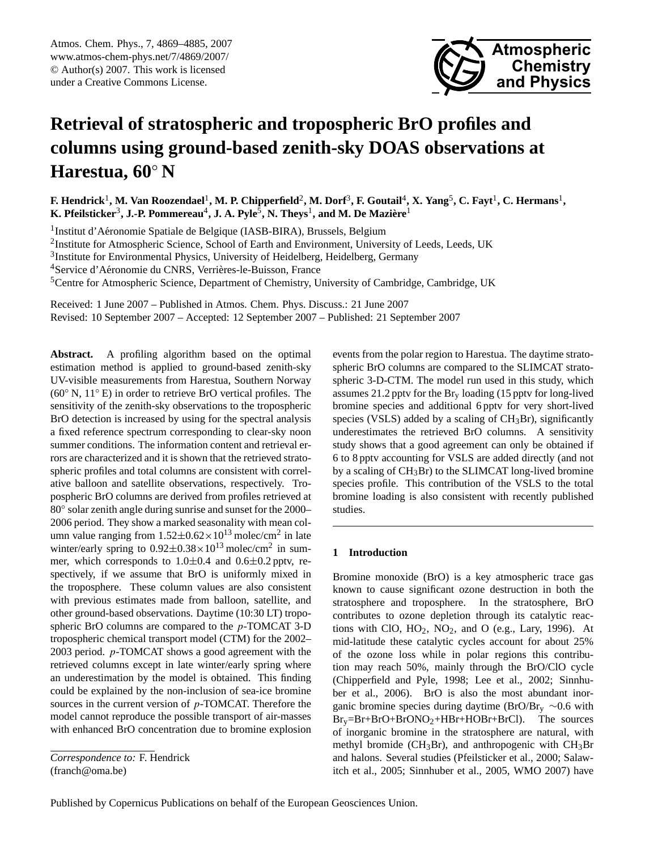<span id="page-0-0"></span>Atmos. Chem. Phys., 7, 4869–4885, 2007 www.atmos-chem-phys.net/7/4869/2007/ © Author(s) 2007. This work is licensed under a Creative Commons License.



# **Retrieval of stratospheric and tropospheric BrO profiles and columns using ground-based zenith-sky DOAS observations at Harestua, 60**◦ **N**

 $F$ . Hendrick<sup>1</sup>, M. Van Roozendael<sup>1</sup>, M. P. Chipperfield<sup>2</sup>, M. Dorf $^3$ , F. Goutail<sup>4</sup>, X. Yang $^5$ , C. Fayt<sup>1</sup>, C. Hermans<sup>1</sup>,  $\mathbf{K}.$  Pfeilsticker $^3$ , J.-P. Pommereau $^4$ , J. A. Pyle $^5$ , N. Theys $^1$ , and M. De Mazière $^1$ 

<sup>1</sup>Institut d'Aéronomie Spatiale de Belgique (IASB-BIRA), Brussels, Belgium

<sup>2</sup>Institute for Atmospheric Science, School of Earth and Environment, University of Leeds, Leeds, UK

<sup>3</sup>Institute for Environmental Physics, University of Heidelberg, Heidelberg, Germany

<sup>4</sup>Service d'Aéronomie du CNRS, Verrières-le-Buisson, France

<sup>5</sup>Centre for Atmospheric Science, Department of Chemistry, University of Cambridge, Cambridge, UK

Received: 1 June 2007 – Published in Atmos. Chem. Phys. Discuss.: 21 June 2007 Revised: 10 September 2007 – Accepted: 12 September 2007 – Published: 21 September 2007

**Abstract.** A profiling algorithm based on the optimal estimation method is applied to ground-based zenith-sky UV-visible measurements from Harestua, Southern Norway  $(60°\text{ N}, 11°\text{ E})$  in order to retrieve BrO vertical profiles. The sensitivity of the zenith-sky observations to the tropospheric BrO detection is increased by using for the spectral analysis a fixed reference spectrum corresponding to clear-sky noon summer conditions. The information content and retrieval errors are characterized and it is shown that the retrieved stratospheric profiles and total columns are consistent with correlative balloon and satellite observations, respectively. Tropospheric BrO columns are derived from profiles retrieved at 80° solar zenith angle during sunrise and sunset for the 2000– 2006 period. They show a marked seasonality with mean column value ranging from  $1.52 \pm 0.62 \times 10^{13}$  molec/cm<sup>2</sup> in late winter/early spring to  $0.92 \pm 0.38 \times 10^{13}$  molec/cm<sup>2</sup> in summer, which corresponds to 1.0±0.4 and 0.6±0.2 pptv, respectively, if we assume that BrO is uniformly mixed in the troposphere. These column values are also consistent with previous estimates made from balloon, satellite, and other ground-based observations. Daytime (10:30 LT) tropospheric BrO columns are compared to the p-TOMCAT 3-D tropospheric chemical transport model (CTM) for the 2002– 2003 period. p-TOMCAT shows a good agreement with the retrieved columns except in late winter/early spring where an underestimation by the model is obtained. This finding could be explained by the non-inclusion of sea-ice bromine sources in the current version of  $p$ -TOMCAT. Therefore the model cannot reproduce the possible transport of air-masses with enhanced BrO concentration due to bromine explosion events from the polar region to Harestua. The daytime stratospheric BrO columns are compared to the SLIMCAT stratospheric 3-D-CTM. The model run used in this study, which assumes 21.2 pptv for the  $Br_y$  loading (15 pptv for long-lived bromine species and additional 6 pptv for very short-lived species (VSLS) added by a scaling of  $CH_3Br$ ), significantly underestimates the retrieved BrO columns. A sensitivity study shows that a good agreement can only be obtained if 6 to 8 pptv accounting for VSLS are added directly (and not by a scaling of CH3Br) to the SLIMCAT long-lived bromine species profile. This contribution of the VSLS to the total bromine loading is also consistent with recently published studies.

## **1 Introduction**

Bromine monoxide (BrO) is a key atmospheric trace gas known to cause significant ozone destruction in both the stratosphere and troposphere. In the stratosphere, BrO contributes to ozone depletion through its catalytic reactions with ClO,  $HO_2$ ,  $NO_2$ , and O (e.g., Lary, 1996). At mid-latitude these catalytic cycles account for about 25% of the ozone loss while in polar regions this contribution may reach 50%, mainly through the BrO/ClO cycle (Chipperfield and Pyle, 1998; Lee et al., 2002; Sinnhuber et al., 2006). BrO is also the most abundant inorganic bromine species during daytime (BrO/Br<sub>y</sub> ~0.6 with  $Br_v=Br+BrO+BrONO_2+HBr+HOBr+BrCl$ . The sources of inorganic bromine in the stratosphere are natural, with methyl bromide ( $CH_3Br$ ), and anthropogenic with  $CH_3Br$ and halons. Several studies (Pfeilsticker et al., 2000; Salawitch et al., 2005; Sinnhuber et al., 2005, WMO 2007) have

*Correspondence to:* F. Hendrick (franch@oma.be)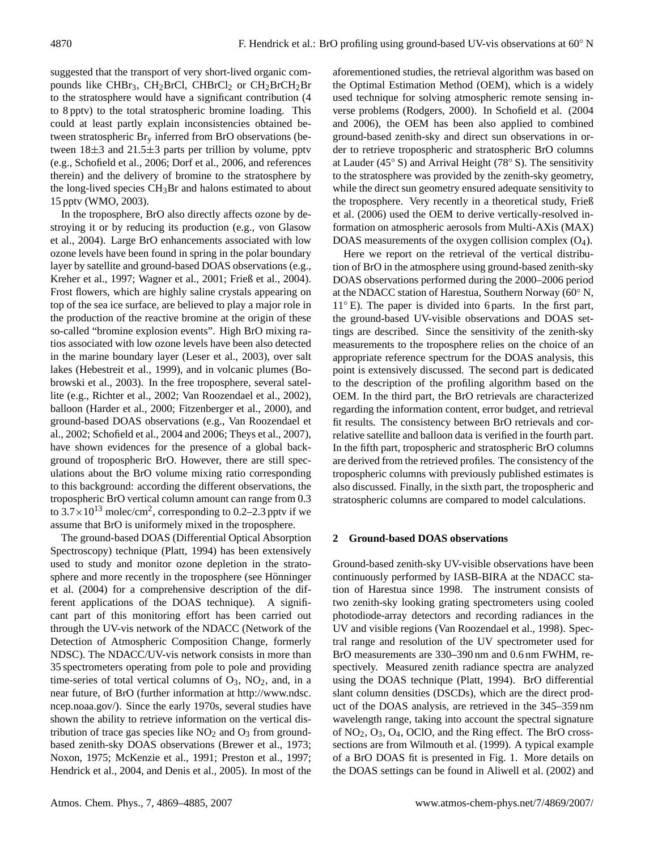suggested that the transport of very short-lived organic compounds like CHBr<sub>3</sub>, CH<sub>2</sub>BrCl, CHBrCl<sub>2</sub> or CH<sub>2</sub>BrCH<sub>2</sub>Br to the stratosphere would have a significant contribution (4 to 8 pptv) to the total stratospheric bromine loading. This could at least partly explain inconsistencies obtained between stratospheric Br<sup>y</sup> inferred from BrO observations (between  $18\pm3$  and  $21.5\pm3$  parts per trillion by volume, pptv (e.g., Schofield et al., 2006; Dorf et al., 2006, and references therein) and the delivery of bromine to the stratosphere by the long-lived species CH3Br and halons estimated to about 15 pptv (WMO, 2003).

In the troposphere, BrO also directly affects ozone by destroying it or by reducing its production (e.g., von Glasow et al., 2004). Large BrO enhancements associated with low ozone levels have been found in spring in the polar boundary layer by satellite and ground-based DOAS observations (e.g., Kreher et al., 1997; Wagner et al., 2001; Frieß et al., 2004). Frost flowers, which are highly saline crystals appearing on top of the sea ice surface, are believed to play a major role in the production of the reactive bromine at the origin of these so-called "bromine explosion events". High BrO mixing ratios associated with low ozone levels have been also detected in the marine boundary layer (Leser et al., 2003), over salt lakes (Hebestreit et al., 1999), and in volcanic plumes (Bobrowski et al., 2003). In the free troposphere, several satellite (e.g., Richter et al., 2002; Van Roozendael et al., 2002), balloon (Harder et al., 2000; Fitzenberger et al., 2000), and ground-based DOAS observations (e.g., Van Roozendael et al., 2002; Schofield et al., 2004 and 2006; Theys et al., 2007), have shown evidences for the presence of a global background of tropospheric BrO. However, there are still speculations about the BrO volume mixing ratio corresponding to this background: according the different observations, the tropospheric BrO vertical column amount can range from 0.3 to  $3.7 \times 10^{13}$  molec/cm<sup>2</sup>, corresponding to 0.2–2.3 pptv if we assume that BrO is uniformely mixed in the troposphere.

The ground-based DOAS (Differential Optical Absorption Spectroscopy) technique (Platt, 1994) has been extensively used to study and monitor ozone depletion in the stratosphere and more recently in the troposphere (see Hönninger et al. (2004) for a comprehensive description of the different applications of the DOAS technique). A significant part of this monitoring effort has been carried out through the UV-vis network of the NDACC (Network of the Detection of Atmospheric Composition Change, formerly NDSC). The NDACC/UV-vis network consists in more than 35 spectrometers operating from pole to pole and providing time-series of total vertical columns of  $O_3$ ,  $NO_2$ , and, in a near future, of BrO (further information at [http://www.ndsc.](http://www.ndsc.ncep.noaa.gov/) [ncep.noaa.gov/\)](http://www.ndsc.ncep.noaa.gov/). Since the early 1970s, several studies have shown the ability to retrieve information on the vertical distribution of trace gas species like  $NO<sub>2</sub>$  and  $O<sub>3</sub>$  from groundbased zenith-sky DOAS observations (Brewer et al., 1973; Noxon, 1975; McKenzie et al., 1991; Preston et al., 1997; Hendrick et al., 2004, and Denis et al., 2005). In most of the aforementioned studies, the retrieval algorithm was based on the Optimal Estimation Method (OEM), which is a widely used technique for solving atmospheric remote sensing inverse problems (Rodgers, 2000). In Schofield et al. (2004 and 2006), the OEM has been also applied to combined ground-based zenith-sky and direct sun observations in order to retrieve tropospheric and stratospheric BrO columns at Lauder (45◦ S) and Arrival Height (78◦ S). The sensitivity to the stratosphere was provided by the zenith-sky geometry, while the direct sun geometry ensured adequate sensitivity to the troposphere. Very recently in a theoretical study, Frieß et al. (2006) used the OEM to derive vertically-resolved information on atmospheric aerosols from Multi-AXis (MAX) DOAS measurements of the oxygen collision complex  $(O_4)$ .

Here we report on the retrieval of the vertical distribution of BrO in the atmosphere using ground-based zenith-sky DOAS observations performed during the 2000–2006 period at the NDACC station of Harestua, Southern Norway (60◦ N, 11<sup>°</sup> E). The paper is divided into 6 parts. In the first part, the ground-based UV-visible observations and DOAS settings are described. Since the sensitivity of the zenith-sky measurements to the troposphere relies on the choice of an appropriate reference spectrum for the DOAS analysis, this point is extensively discussed. The second part is dedicated to the description of the profiling algorithm based on the OEM. In the third part, the BrO retrievals are characterized regarding the information content, error budget, and retrieval fit results. The consistency between BrO retrievals and correlative satellite and balloon data is verified in the fourth part. In the fifth part, tropospheric and stratospheric BrO columns are derived from the retrieved profiles. The consistency of the tropospheric columns with previously published estimates is also discussed. Finally, in the sixth part, the tropospheric and stratospheric columns are compared to model calculations.

## **2 Ground-based DOAS observations**

Ground-based zenith-sky UV-visible observations have been continuously performed by IASB-BIRA at the NDACC station of Harestua since 1998. The instrument consists of two zenith-sky looking grating spectrometers using cooled photodiode-array detectors and recording radiances in the UV and visible regions (Van Roozendael et al., 1998). Spectral range and resolution of the UV spectrometer used for BrO measurements are 330–390 nm and 0.6 nm FWHM, respectively. Measured zenith radiance spectra are analyzed using the DOAS technique (Platt, 1994). BrO differential slant column densities (DSCDs), which are the direct product of the DOAS analysis, are retrieved in the 345–359 nm wavelength range, taking into account the spectral signature of NO2, O3, O4, OClO, and the Ring effect. The BrO crosssections are from Wilmouth et al. (1999). A typical example of a BrO DOAS fit is presented in Fig. 1. More details on the DOAS settings can be found in Aliwell et al. (2002) and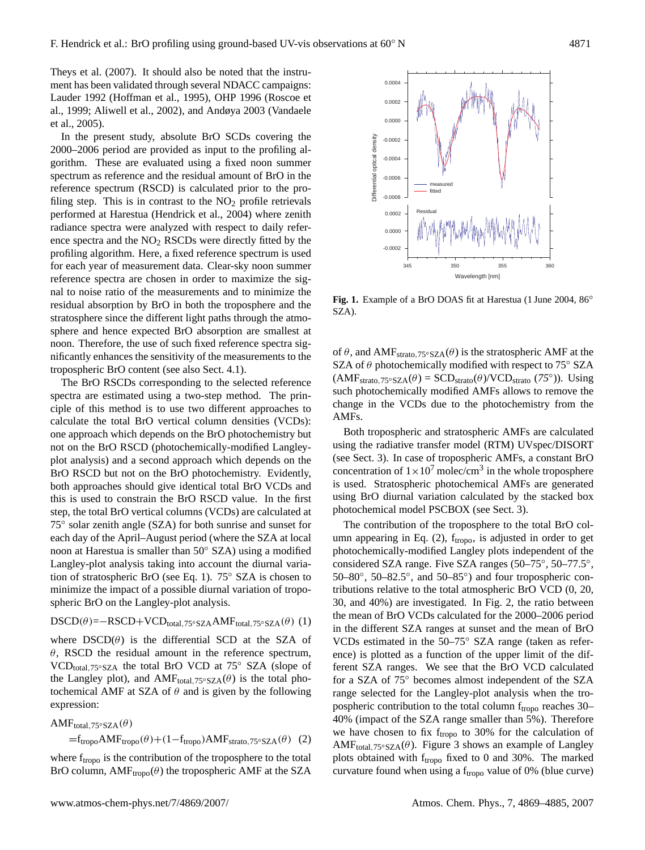Theys et al. (2007). It should also be noted that the instrument has been validated through several NDACC campaigns: Lauder 1992 (Hoffman et al., 1995), OHP 1996 (Roscoe et al., 1999; Aliwell et al., 2002), and Andøya 2003 (Vandaele et al., 2005).

In the present study, absolute BrO SCDs covering the 2000–2006 period are provided as input to the profiling algorithm. These are evaluated using a fixed noon summer spectrum as reference and the residual amount of BrO in the reference spectrum (RSCD) is calculated prior to the profiling step. This is in contrast to the  $NO<sub>2</sub>$  profile retrievals performed at Harestua (Hendrick et al., 2004) where zenith radiance spectra were analyzed with respect to daily reference spectra and the  $NO<sub>2</sub> RSCDs$  were directly fitted by the profiling algorithm. Here, a fixed reference spectrum is used for each year of measurement data. Clear-sky noon summer reference spectra are chosen in order to maximize the signal to noise ratio of the measurements and to minimize the residual absorption by BrO in both the troposphere and the stratosphere since the different light paths through the atmosphere and hence expected BrO absorption are smallest at noon. Therefore, the use of such fixed reference spectra significantly enhances the sensitivity of the measurements to the tropospheric BrO content (see also Sect. 4.1).

The BrO RSCDs corresponding to the selected reference spectra are estimated using a two-step method. The principle of this method is to use two different approaches to calculate the total BrO vertical column densities (VCDs): one approach which depends on the BrO photochemistry but not on the BrO RSCD (photochemically-modified Langleyplot analysis) and a second approach which depends on the BrO RSCD but not on the BrO photochemistry. Evidently, both approaches should give identical total BrO VCDs and this is used to constrain the BrO RSCD value. In the first step, the total BrO vertical columns (VCDs) are calculated at  $75^\circ$  solar zenith angle (SZA) for both sunrise and sunset for each day of the April–August period (where the SZA at local noon at Harestua is smaller than 50◦ SZA) using a modified Langley-plot analysis taking into account the diurnal variation of stratospheric BrO (see Eq. 1). 75◦ SZA is chosen to minimize the impact of a possible diurnal variation of tropospheric BrO on the Langley-plot analysis.

## $DSCD(\theta) = -RSCD+VCD_{total,75°SZA}AMF_{total,75°SZA}(\theta)$  (1)

where  $DSCD(\theta)$  is the differential SCD at the SZA of  $\theta$ , RSCD the residual amount in the reference spectrum,  $VCD_{total.75°SZA}$  the total BrO VCD at 75° SZA (slope of the Langley plot), and AMF<sub>total,75</sub>∘ $_{\text{SZA}}(\theta)$  is the total photochemical AMF at SZA of  $\theta$  and is given by the following expression:

AMF<sub>total</sub>, 75°SZA $(\theta)$ 

 $=f_{\text{tropo}}\text{AMF}_{\text{tropo}}(\theta) + (1 - f_{\text{tropo}})\text{AMF}_{\text{strato},75°\text{SZA}}(\theta)$  (2)

where  $f_{\text{tropo}}$  is the contribution of the troposphere to the total BrO column,  $AMF_{tropo}(\theta)$  the tropospheric AMF at the SZA

of  $\theta$ , and AMF<sub>strato,75°SZA</sub>( $\theta$ ) is the stratospheric AMF at the

**Fig. 1.** Example of a BrO DOAS fit at Harestua (1 June 2004, 86◦

SZA).

SZA of  $\theta$  photochemically modified with respect to 75 $\degree$  SZA  $(AMF<sub>strato</sub>,75°SZA(\theta) = SCD<sub>strato</sub>(\theta)/VCD<sub>strato</sub> (75°))$ . Using such photochemically modified AMFs allows to remove the change in the VCDs due to the photochemistry from the AMFs.

Both tropospheric and stratospheric AMFs are calculated using the radiative transfer model (RTM) UVspec/DISORT (see Sect. 3). In case of tropospheric AMFs, a constant BrO concentration of  $1 \times 10^7$  molec/cm<sup>3</sup> in the whole troposphere is used. Stratospheric photochemical AMFs are generated using BrO diurnal variation calculated by the stacked box photochemical model PSCBOX (see Sect. 3).

The contribution of the troposphere to the total BrO column appearing in Eq. (2),  $f_{tropo}$ , is adjusted in order to get photochemically-modified Langley plots independent of the considered SZA range. Five SZA ranges (50–75°, 50–77.5°, 50–80°, 50–82.5°, and 50–85°) and four tropospheric contributions relative to the total atmospheric BrO VCD (0, 20, 30, and 40%) are investigated. In Fig. 2, the ratio between the mean of BrO VCDs calculated for the 2000–2006 period in the different SZA ranges at sunset and the mean of BrO VCDs estimated in the 50–75◦ SZA range (taken as reference) is plotted as a function of the upper limit of the different SZA ranges. We see that the BrO VCD calculated for a SZA of 75◦ becomes almost independent of the SZA range selected for the Langley-plot analysis when the tropospheric contribution to the total column  $f_{tropo}$  reaches 30– 40% (impact of the SZA range smaller than 5%). Therefore we have chosen to fix  $f_{tropo}$  to 30% for the calculation of AMF<sub>total,75°SZA</sub> $(\theta)$ . Figure 3 shows an example of Langley plots obtained with  $f_{tropo}$  fixed to 0 and 30%. The marked curvature found when using a  $f_{tropo}$  value of 0% (blue curve)

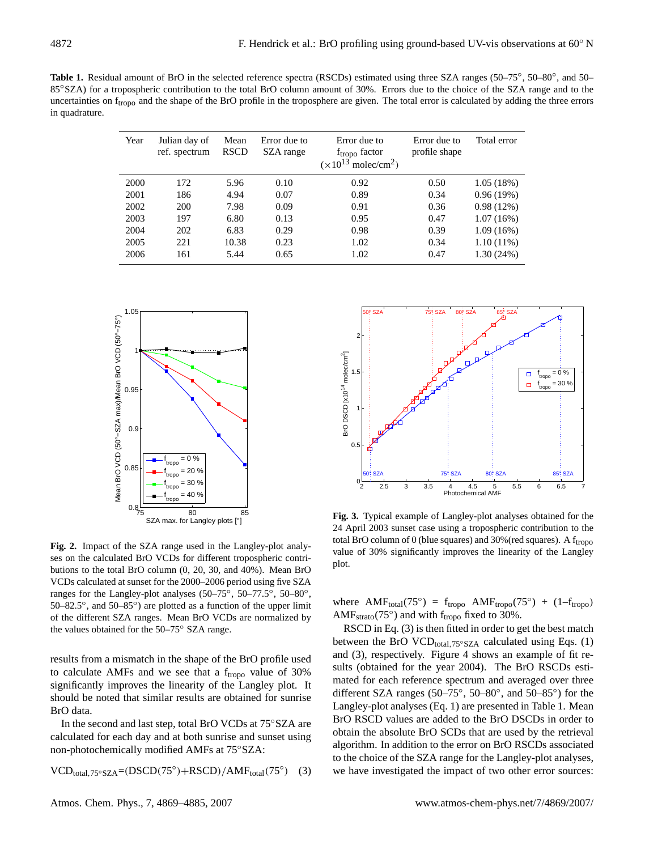Table 1. Residual amount of BrO in the selected reference spectra (RSCDs) estimated using three SZA ranges (50–75°, 50–80°, and 50– 85<sup>°</sup>SZA) for a tropospheric contribution to the total BrO column amount of 30%. Errors due to the choice of the SZA range and to the uncertainties on  $f_{\text{tropo}}$  and the shape of the BrO profile in the troposphere are given. The total error is calculated by adding the three errors in quadrature.

| Year | Julian day of<br>ref. spectrum | Mean<br><b>RSCD</b> | Error due to<br>SZA range | Error due to<br>f <sub>tropo</sub> factor<br>$(x10^{13})$<br>molec/cm <sup>2</sup> ) | Error due to<br>profile shape | Total error  |
|------|--------------------------------|---------------------|---------------------------|--------------------------------------------------------------------------------------|-------------------------------|--------------|
| 2000 | 172                            | 5.96                | 0.10                      | 0.92                                                                                 | 0.50                          | 1.05(18%)    |
| 2001 | 186                            | 4.94                | 0.07                      | 0.89                                                                                 | 0.34                          | 0.96(19%)    |
| 2002 | 200                            | 7.98                | 0.09                      | 0.91                                                                                 | 0.36                          | 0.98(12%)    |
| 2003 | 197                            | 6.80                | 0.13                      | 0.95                                                                                 | 0.47                          | 1.07(16%)    |
| 2004 | 202                            | 6.83                | 0.29                      | 0.98                                                                                 | 0.39                          | 1.09(16%)    |
| 2005 | 221                            | 10.38               | 0.23                      | 1.02                                                                                 | 0.34                          | $1.10(11\%)$ |
| 2006 | 161                            | 5.44                | 0.65                      | 1.02                                                                                 | 0.47                          | 1.30(24%)    |



**Fig. 2.** Impact of the SZA range used in the Langley-plot analyses on the calculated BrO VCDs for different tropospheric contributions to the total BrO column (0, 20, 30, and 40%). Mean BrO VCDs calculated at sunset for the 2000–2006 period using five SZA ranges for the Langley-plot analyses  $(50-75^{\circ}, 50-77.5^{\circ}, 50-80^{\circ},$ 50–82.5°, and 50–85°) are plotted as a function of the upper limit of the different SZA ranges. Mean BrO VCDs are normalized by the values obtained for the 50–75◦ SZA range.

results from a mismatch in the shape of the BrO profile used to calculate AMFs and we see that a  $f_{tropo}$  value of 30% significantly improves the linearity of the Langley plot. It should be noted that similar results are obtained for sunrise BrO data.

In the second and last step, total BrO VCDs at  $75°$ SZA are calculated for each day and at both sunrise and sunset using non-photochemically modified AMFs at 75◦SZA:

$$
VCD_{total,75°SZA} = (DSCD(75°) + RSCD) / AMF_{total}(75°) \quad (3)
$$



**Fig. 3.** Typical example of Langley-plot analyses obtained for the 24 April 2003 sunset case using a tropospheric contribution to the total BrO column of 0 (blue squares) and  $30\%$  (red squares). A f<sub>tropo</sub> value of 30% significantly improves the linearity of the Langley plot.

where  $AMF_{total}(75^{\circ}) = f_{tropo} AMF_{tropo}(75^{\circ}) + (1 - f_{tropo})$ AMF<sub>strato</sub>(75 $^{\circ}$ ) and with f<sub>tropo</sub> fixed to 30%.

RSCD in Eq. (3) is then fitted in order to get the best match between the BrO VCD<sub>total,75°</sub>SZA calculated using Eqs. (1) and (3), respectively. Figure 4 shows an example of fit results (obtained for the year 2004). The BrO RSCDs estimated for each reference spectrum and averaged over three different SZA ranges (50– $75^{\circ}$ , 50–80°, and 50–85°) for the Langley-plot analyses (Eq. 1) are presented in Table 1. Mean BrO RSCD values are added to the BrO DSCDs in order to obtain the absolute BrO SCDs that are used by the retrieval algorithm. In addition to the error on BrO RSCDs associated to the choice of the SZA range for the Langley-plot analyses, we have investigated the impact of two other error sources: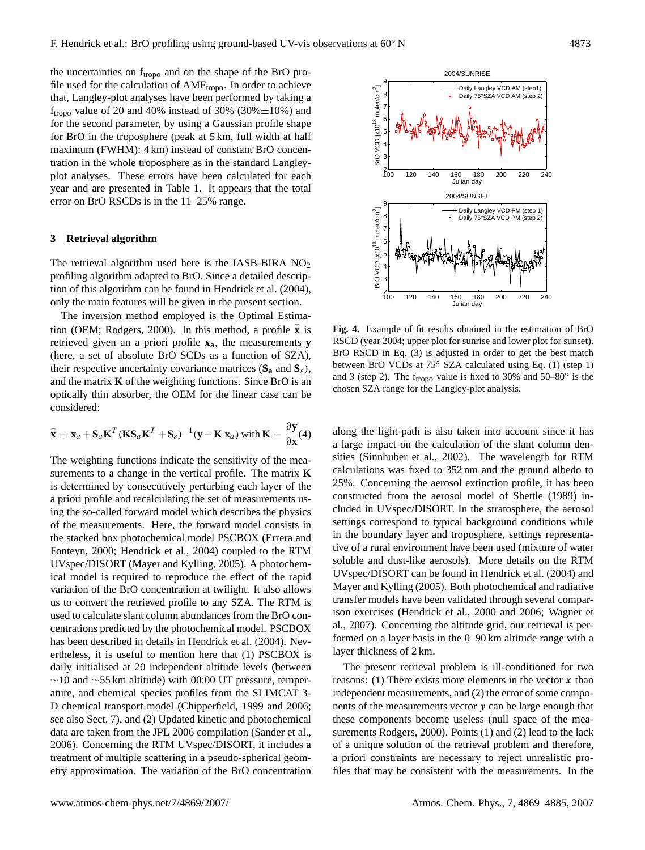the uncertainties on  $f_{\text{tropo}}$  and on the shape of the BrO profile used for the calculation of  $AMF_{tropo}$ . In order to achieve that, Langley-plot analyses have been performed by taking a  $f_{tropo}$  value of 20 and 40% instead of 30% (30% $\pm$ 10%) and for the second parameter, by using a Gaussian profile shape for BrO in the troposphere (peak at 5 km, full width at half maximum (FWHM): 4 km) instead of constant BrO concentration in the whole troposphere as in the standard Langleyplot analyses. These errors have been calculated for each year and are presented in Table 1. It appears that the total error on BrO RSCDs is in the 11–25% range.

## **3 Retrieval algorithm**

The retrieval algorithm used here is the IASB-BIRA  $NO<sub>2</sub>$ profiling algorithm adapted to BrO. Since a detailed description of this algorithm can be found in Hendrick et al. (2004), only the main features will be given in the present section.

The inversion method employed is the Optimal Estimation (OEM; Rodgers, 2000). In this method, a profile  $\hat{\mathbf{x}}$  is retrieved given an a priori profile **xa**, the measurements **y** (here, a set of absolute BrO SCDs as a function of SZA), their respective uncertainty covariance matrices  $(S_a$  and  $S_\varepsilon)$ , and the matrix **K** of the weighting functions. Since BrO is an optically thin absorber, the OEM for the linear case can be considered:

$$
\widehat{\mathbf{x}} = \mathbf{x}_a + \mathbf{S}_a \mathbf{K}^T (\mathbf{K} \mathbf{S}_a \mathbf{K}^T + \mathbf{S}_\varepsilon)^{-1} (\mathbf{y} - \mathbf{K} \mathbf{x}_a) \text{ with } \mathbf{K} = \frac{\partial \mathbf{y}}{\partial \mathbf{x}}(4)
$$

The weighting functions indicate the sensitivity of the measurements to a change in the vertical profile. The matrix **K** is determined by consecutively perturbing each layer of the a priori profile and recalculating the set of measurements using the so-called forward model which describes the physics of the measurements. Here, the forward model consists in the stacked box photochemical model PSCBOX (Errera and Fonteyn, 2000; Hendrick et al., 2004) coupled to the RTM UVspec/DISORT (Mayer and Kylling, 2005). A photochemical model is required to reproduce the effect of the rapid variation of the BrO concentration at twilight. It also allows us to convert the retrieved profile to any SZA. The RTM is used to calculate slant column abundances from the BrO concentrations predicted by the photochemical model. PSCBOX has been described in details in Hendrick et al. (2004). Nevertheless, it is useful to mention here that (1) PSCBOX is daily initialised at 20 independent altitude levels (between  $∼10$  and  $∼55$  km altitude) with 00:00 UT pressure, temperature, and chemical species profiles from the SLIMCAT 3- D chemical transport model (Chipperfield, 1999 and 2006; see also Sect. 7), and (2) Updated kinetic and photochemical data are taken from the JPL 2006 compilation (Sander et al., 2006). Concerning the RTM UVspec/DISORT, it includes a treatment of multiple scattering in a pseudo-spherical geometry approximation. The variation of the BrO concentration



**Fig. 4.** Example of fit results obtained in the estimation of BrO RSCD (year 2004; upper plot for sunrise and lower plot for sunset). BrO RSCD in Eq. (3) is adjusted in order to get the best match between BrO VCDs at 75◦ SZA calculated using Eq. (1) (step 1) and 3 (step 2). The  $f_{tropo}$  value is fixed to 30% and 50–80 $^{\circ}$  is the chosen SZA range for the Langley-plot analysis.

along the light-path is also taken into account since it has a large impact on the calculation of the slant column densities (Sinnhuber et al., 2002). The wavelength for RTM calculations was fixed to 352 nm and the ground albedo to 25%. Concerning the aerosol extinction profile, it has been constructed from the aerosol model of Shettle (1989) included in UVspec/DISORT. In the stratosphere, the aerosol settings correspond to typical background conditions while in the boundary layer and troposphere, settings representative of a rural environment have been used (mixture of water soluble and dust-like aerosols). More details on the RTM UVspec/DISORT can be found in Hendrick et al. (2004) and Mayer and Kylling (2005). Both photochemical and radiative transfer models have been validated through several comparison exercises (Hendrick et al., 2000 and 2006; Wagner et al., 2007). Concerning the altitude grid, our retrieval is performed on a layer basis in the 0–90 km altitude range with a layer thickness of 2 km.

The present retrieval problem is ill-conditioned for two reasons: (1) There exists more elements in the vector  $x$  than independent measurements, and (2) the error of some components of the measurements vector y can be large enough that these components become useless (null space of the measurements Rodgers, 2000). Points (1) and (2) lead to the lack of a unique solution of the retrieval problem and therefore, a priori constraints are necessary to reject unrealistic profiles that may be consistent with the measurements. In the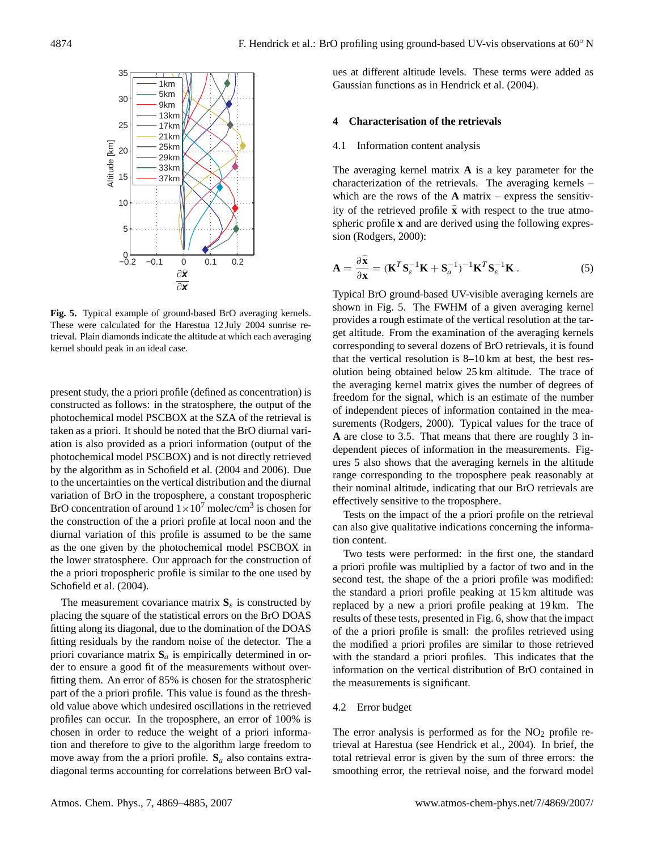

**Fig. 5.** Typical example of ground-based BrO averaging kernels. These were calculated for the Harestua 12 July 2004 sunrise retrieval. Plain diamonds indicate the altitude at which each averaging kernel should peak in an ideal case.

present study, the a priori profile (defined as concentration) is constructed as follows: in the stratosphere, the output of the photochemical model PSCBOX at the SZA of the retrieval is taken as a priori. It should be noted that the BrO diurnal variation is also provided as a priori information (output of the photochemical model PSCBOX) and is not directly retrieved by the algorithm as in Schofield et al. (2004 and 2006). Due to the uncertainties on the vertical distribution and the diurnal variation of BrO in the troposphere, a constant tropospheric BrO concentration of around  $1 \times 10^7$  molec/cm<sup>3</sup> is chosen for the construction of the a priori profile at local noon and the diurnal variation of this profile is assumed to be the same as the one given by the photochemical model PSCBOX in the lower stratosphere. Our approach for the construction of the a priori tropospheric profile is similar to the one used by Schofield et al. (2004).

The measurement covariance matrix  $S_{\varepsilon}$  is constructed by placing the square of the statistical errors on the BrO DOAS fitting along its diagonal, due to the domination of the DOAS fitting residuals by the random noise of the detector. The a priori covariance matrix  $S_a$  is empirically determined in order to ensure a good fit of the measurements without overfitting them. An error of 85% is chosen for the stratospheric part of the a priori profile. This value is found as the threshold value above which undesired oscillations in the retrieved profiles can occur. In the troposphere, an error of 100% is chosen in order to reduce the weight of a priori information and therefore to give to the algorithm large freedom to move away from the a priori profile.  $S_a$  also contains extradiagonal terms accounting for correlations between BrO values at different altitude levels. These terms were added as Gaussian functions as in Hendrick et al. (2004).

## **4 Characterisation of the retrievals**

#### 4.1 Information content analysis

The averaging kernel matrix **A** is a key parameter for the characterization of the retrievals. The averaging kernels – which are the rows of the  $\bf{A}$  matrix – express the sensitivity of the retrieved profile  $\hat{\mathbf{x}}$  with respect to the true atmospheric profile **x** and are derived using the following expression (Rodgers, 2000):

$$
\mathbf{A} = \frac{\partial \widehat{\mathbf{x}}}{\partial \mathbf{x}} = (\mathbf{K}^T \mathbf{S}_{\varepsilon}^{-1} \mathbf{K} + \mathbf{S}_a^{-1})^{-1} \mathbf{K}^T \mathbf{S}_{\varepsilon}^{-1} \mathbf{K}.
$$
 (5)

Typical BrO ground-based UV-visible averaging kernels are shown in Fig. 5. The FWHM of a given averaging kernel provides a rough estimate of the vertical resolution at the target altitude. From the examination of the averaging kernels corresponding to several dozens of BrO retrievals, it is found that the vertical resolution is 8–10 km at best, the best resolution being obtained below 25 km altitude. The trace of the averaging kernel matrix gives the number of degrees of freedom for the signal, which is an estimate of the number of independent pieces of information contained in the measurements (Rodgers, 2000). Typical values for the trace of **A** are close to 3.5. That means that there are roughly 3 independent pieces of information in the measurements. Figures 5 also shows that the averaging kernels in the altitude range corresponding to the troposphere peak reasonably at their nominal altitude, indicating that our BrO retrievals are effectively sensitive to the troposphere.

Tests on the impact of the a priori profile on the retrieval can also give qualitative indications concerning the information content.

Two tests were performed: in the first one, the standard a priori profile was multiplied by a factor of two and in the second test, the shape of the a priori profile was modified: the standard a priori profile peaking at 15 km altitude was replaced by a new a priori profile peaking at 19 km. The results of these tests, presented in Fig. 6, show that the impact of the a priori profile is small: the profiles retrieved using the modified a priori profiles are similar to those retrieved with the standard a priori profiles. This indicates that the information on the vertical distribution of BrO contained in the measurements is significant.

#### 4.2 Error budget

The error analysis is performed as for the  $NO<sub>2</sub>$  profile retrieval at Harestua (see Hendrick et al., 2004). In brief, the total retrieval error is given by the sum of three errors: the smoothing error, the retrieval noise, and the forward model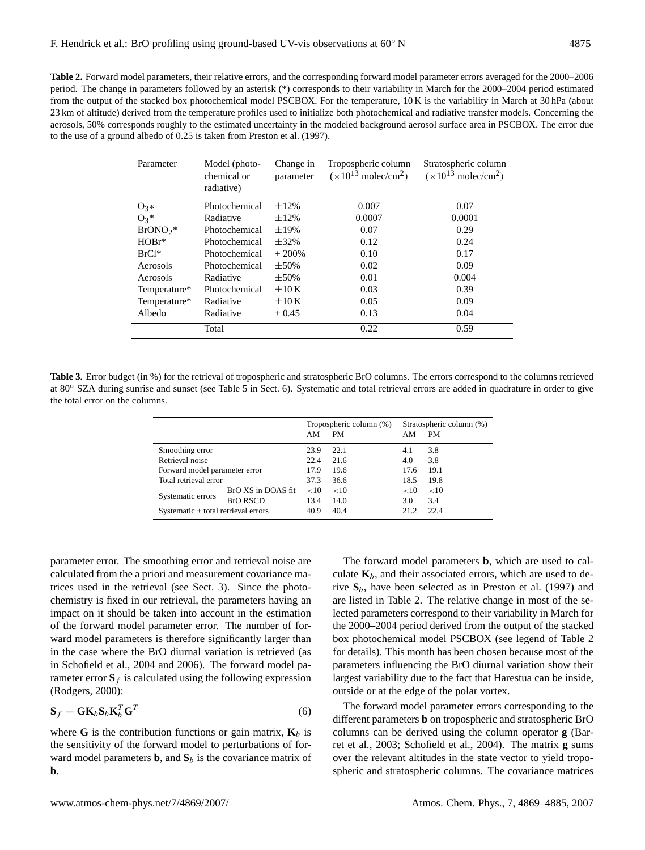**Table 2.** Forward model parameters, their relative errors, and the corresponding forward model parameter errors averaged for the 2000–2006 period. The change in parameters followed by an asterisk (\*) corresponds to their variability in March for the 2000–2004 period estimated from the output of the stacked box photochemical model PSCBOX. For the temperature, 10 K is the variability in March at 30 hPa (about 23 km of altitude) derived from the temperature profiles used to initialize both photochemical and radiative transfer models. Concerning the aerosols, 50% corresponds roughly to the estimated uncertainty in the modeled background aerosol surface area in PSCBOX. The error due to the use of a ground albedo of 0.25 is taken from Preston et al. (1997).

| Parameter    | Model (photo-<br>chemical or<br>radiative) | Change in<br>parameter | Tropospheric column<br>$(x10^{13} \text{ molecule/cm}^2)$ | Stratospheric column<br>$(x10^{13} \text{ molecule/cm}^2)$ |
|--------------|--------------------------------------------|------------------------|-----------------------------------------------------------|------------------------------------------------------------|
| $O_3*$       | Photochemical                              | $\pm 12\%$             | 0.007                                                     | 0.07                                                       |
| $O_3*$       | Radiative                                  | $\pm 12\%$             | 0.0007                                                    | 0.0001                                                     |
| $BrONO2$ *   | Photochemical                              | $\pm 19\%$             | 0.07                                                      | 0.29                                                       |
| $HOBr*$      | Photochemical                              | $\pm$ 32%              | 0.12                                                      | 0.24                                                       |
| $BrCl^*$     | Photochemical                              | $+200%$                | 0.10                                                      | 0.17                                                       |
| Aerosols     | Photochemical                              | $\pm$ 50%              | 0.02                                                      | 0.09                                                       |
| Aerosols     | Radiative                                  | $\pm$ 50%              | 0.01                                                      | 0.004                                                      |
| Temperature* | Photochemical                              | $\pm 10K$              | 0.03                                                      | 0.39                                                       |
| Temperature* | Radiative                                  | $\pm 10K$              | 0.05                                                      | 0.09                                                       |
| Albedo       | Radiative                                  | $+0.45$                | 0.13                                                      | 0.04                                                       |
|              | Total                                      |                        | 0.22                                                      | 0.59                                                       |

**Table 3.** Error budget (in %) for the retrieval of tropospheric and stratospheric BrO columns. The errors correspond to the columns retrieved at 80◦ SZA during sunrise and sunset (see Table 5 in Sect. 6). Systematic and total retrieval errors are added in quadrature in order to give the total error on the columns.

|                                     |                    | Tropospheric column (%)<br>AM<br><b>PM</b> |      | Stratospheric column (%)<br><b>PM</b><br>AΜ |      |
|-------------------------------------|--------------------|--------------------------------------------|------|---------------------------------------------|------|
|                                     |                    | 23.9                                       | 22.1 |                                             | 3.8  |
| Smoothing error<br>Retrieval noise  |                    |                                            |      | 4.1                                         |      |
|                                     |                    | 22.4                                       | 21.6 | 4.0                                         | 3.8  |
| Forward model parameter error       |                    | 17.9                                       | 19.6 | 17.6                                        | 19.1 |
| Total retrieval error               |                    | 37.3                                       | 36.6 | 18.5                                        | 19.8 |
|                                     | BrO XS in DOAS fit | <10                                        | <10  | <10                                         | <10  |
| Systematic errors                   | <b>BrO RSCD</b>    | 13.4                                       | 14.0 | 3.0                                         | 3.4  |
| Systematic + total retrieval errors |                    | 40.9                                       | 40.4 | 21.2                                        | 22.4 |

parameter error. The smoothing error and retrieval noise are calculated from the a priori and measurement covariance matrices used in the retrieval (see Sect. 3). Since the photochemistry is fixed in our retrieval, the parameters having an impact on it should be taken into account in the estimation of the forward model parameter error. The number of forward model parameters is therefore significantly larger than in the case where the BrO diurnal variation is retrieved (as in Schofield et al., 2004 and 2006). The forward model parameter error  $S_f$  is calculated using the following expression (Rodgers, 2000):

$$
\mathbf{S}_f = \mathbf{G} \mathbf{K}_b \mathbf{S}_b \mathbf{K}_b^T \mathbf{G}^T
$$
 (6)

where **G** is the contribution functions or gain matrix,  $\mathbf{K}_b$  is the sensitivity of the forward model to perturbations of forward model parameters **b**, and  $S_b$  is the covariance matrix of **b**.

The forward model parameters **b**, which are used to calculate  $\mathbf{K}_b$ , and their associated errors, which are used to derive  $S_b$ , have been selected as in Preston et al. (1997) and are listed in Table 2. The relative change in most of the selected parameters correspond to their variability in March for the 2000–2004 period derived from the output of the stacked box photochemical model PSCBOX (see legend of Table 2 for details). This month has been chosen because most of the parameters influencing the BrO diurnal variation show their largest variability due to the fact that Harestua can be inside, outside or at the edge of the polar vortex.

The forward model parameter errors corresponding to the different parameters **b** on tropospheric and stratospheric BrO columns can be derived using the column operator **g** (Barret et al., 2003; Schofield et al., 2004). The matrix **g** sums over the relevant altitudes in the state vector to yield tropospheric and stratospheric columns. The covariance matrices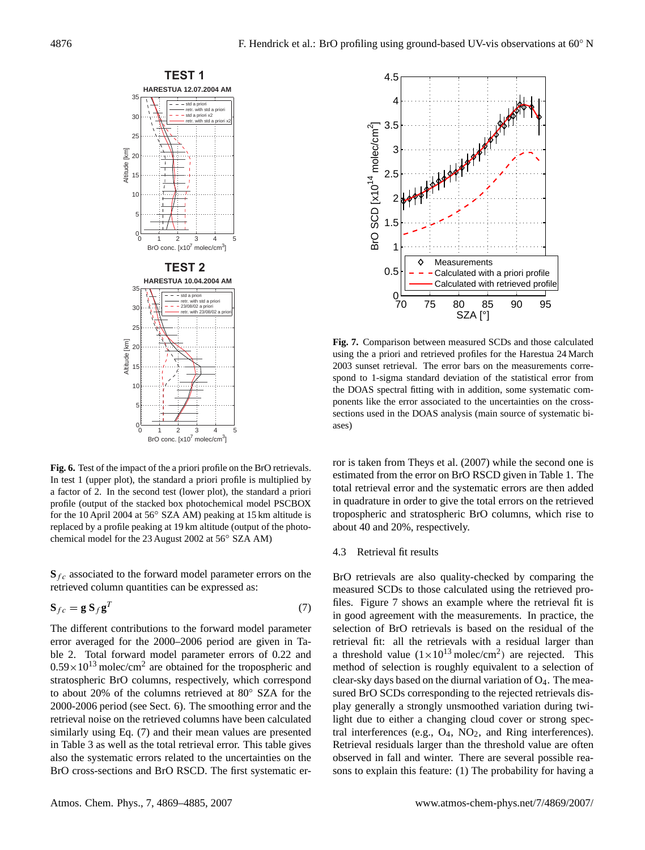

**Fig. 6.** Test of the impact of the a priori profile on the BrO retrievals. In test 1 (upper plot), the standard a priori profile is multiplied by a factor of 2. In the second test (lower plot), the standard a priori profile (output of the stacked box photochemical model PSCBOX for the 10 April 2004 at 56◦ SZA AM) peaking at 15 km altitude is replaced by a profile peaking at 19 km altitude (output of the photochemical model for the 23 August 2002 at 56◦ SZA AM)

 $\mathbf{S}_{fc}$  associated to the forward model parameter errors on the retrieved column quantities can be expressed as:

$$
\mathbf{S}_{fc} = \mathbf{g} \, \mathbf{S}_f \mathbf{g}^T \tag{7}
$$

The different contributions to the forward model parameter error averaged for the 2000–2006 period are given in Table 2. Total forward model parameter errors of 0.22 and  $0.59 \times 10^{13}$  molec/cm<sup>2</sup> are obtained for the tropospheric and stratospheric BrO columns, respectively, which correspond to about 20% of the columns retrieved at 80◦ SZA for the 2000-2006 period (see Sect. 6). The smoothing error and the retrieval noise on the retrieved columns have been calculated similarly using Eq. (7) and their mean values are presented in Table 3 as well as the total retrieval error. This table gives also the systematic errors related to the uncertainties on the BrO cross-sections and BrO RSCD. The first systematic er-



**Fig. 7.** Comparison between measured SCDs and those calculated using the a priori and retrieved profiles for the Harestua 24 March 2003 sunset retrieval. The error bars on the measurements correspond to 1-sigma standard deviation of the statistical error from the DOAS spectral fitting with in addition, some systematic components like the error associated to the uncertainties on the crosssections used in the DOAS analysis (main source of systematic biases)

ror is taken from Theys et al. (2007) while the second one is estimated from the error on BrO RSCD given in Table 1. The total retrieval error and the systematic errors are then added in quadrature in order to give the total errors on the retrieved tropospheric and stratospheric BrO columns, which rise to about 40 and 20%, respectively.

#### 4.3 Retrieval fit results

BrO retrievals are also quality-checked by comparing the measured SCDs to those calculated using the retrieved profiles. Figure 7 shows an example where the retrieval fit is in good agreement with the measurements. In practice, the selection of BrO retrievals is based on the residual of the retrieval fit: all the retrievals with a residual larger than a threshold value  $(1 \times 10^{13} \text{ molec/cm}^2)$  are rejected. This method of selection is roughly equivalent to a selection of clear-sky days based on the diurnal variation of O4. The measured BrO SCDs corresponding to the rejected retrievals display generally a strongly unsmoothed variation during twilight due to either a changing cloud cover or strong spectral interferences (e.g.,  $O_4$ ,  $NO_2$ , and Ring interferences). Retrieval residuals larger than the threshold value are often observed in fall and winter. There are several possible reasons to explain this feature: (1) The probability for having a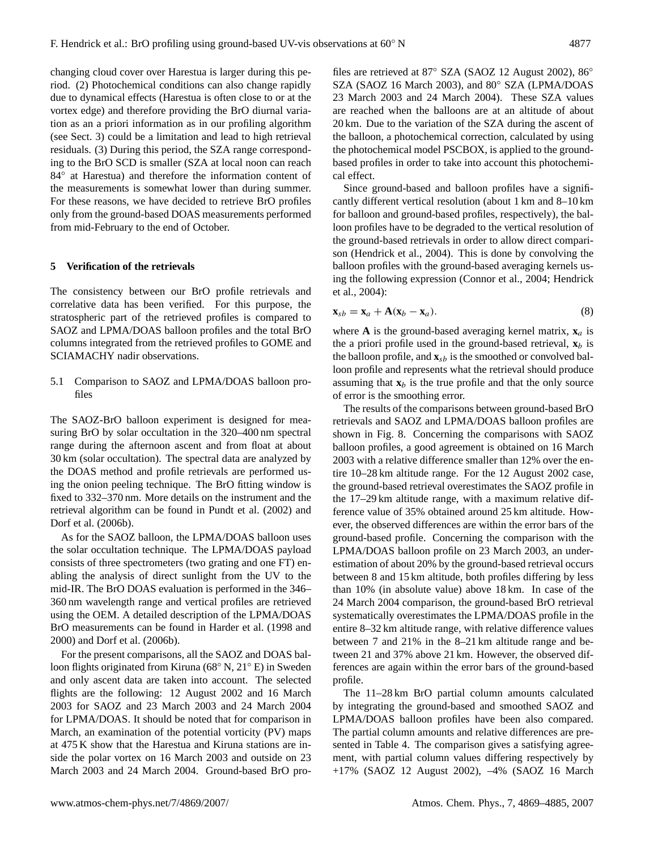changing cloud cover over Harestua is larger during this period. (2) Photochemical conditions can also change rapidly due to dynamical effects (Harestua is often close to or at the vortex edge) and therefore providing the BrO diurnal variation as an a priori information as in our profiling algorithm (see Sect. 3) could be a limitation and lead to high retrieval residuals. (3) During this period, the SZA range corresponding to the BrO SCD is smaller (SZA at local noon can reach 84° at Harestua) and therefore the information content of the measurements is somewhat lower than during summer. For these reasons, we have decided to retrieve BrO profiles only from the ground-based DOAS measurements performed from mid-February to the end of October.

#### **5 Verification of the retrievals**

The consistency between our BrO profile retrievals and correlative data has been verified. For this purpose, the stratospheric part of the retrieved profiles is compared to SAOZ and LPMA/DOAS balloon profiles and the total BrO columns integrated from the retrieved profiles to GOME and SCIAMACHY nadir observations.

5.1 Comparison to SAOZ and LPMA/DOAS balloon profiles

The SAOZ-BrO balloon experiment is designed for measuring BrO by solar occultation in the 320–400 nm spectral range during the afternoon ascent and from float at about 30 km (solar occultation). The spectral data are analyzed by the DOAS method and profile retrievals are performed using the onion peeling technique. The BrO fitting window is fixed to 332–370 nm. More details on the instrument and the retrieval algorithm can be found in Pundt et al. (2002) and Dorf et al. (2006b).

As for the SAOZ balloon, the LPMA/DOAS balloon uses the solar occultation technique. The LPMA/DOAS payload consists of three spectrometers (two grating and one FT) enabling the analysis of direct sunlight from the UV to the mid-IR. The BrO DOAS evaluation is performed in the 346– 360 nm wavelength range and vertical profiles are retrieved using the OEM. A detailed description of the LPMA/DOAS BrO measurements can be found in Harder et al. (1998 and 2000) and Dorf et al. (2006b).

For the present comparisons, all the SAOZ and DOAS balloon flights originated from Kiruna (68◦ N, 21◦ E) in Sweden and only ascent data are taken into account. The selected flights are the following: 12 August 2002 and 16 March 2003 for SAOZ and 23 March 2003 and 24 March 2004 for LPMA/DOAS. It should be noted that for comparison in March, an examination of the potential vorticity (PV) maps at 475 K show that the Harestua and Kiruna stations are inside the polar vortex on 16 March 2003 and outside on 23 March 2003 and 24 March 2004. Ground-based BrO pro-

files are retrieved at 87° SZA (SAOZ 12 August 2002), 86° SZA (SAOZ 16 March 2003), and 80◦ SZA (LPMA/DOAS 23 March 2003 and 24 March 2004). These SZA values are reached when the balloons are at an altitude of about 20 km. Due to the variation of the SZA during the ascent of the balloon, a photochemical correction, calculated by using the photochemical model PSCBOX, is applied to the groundbased profiles in order to take into account this photochemical effect.

Since ground-based and balloon profiles have a significantly different vertical resolution (about 1 km and 8–10 km for balloon and ground-based profiles, respectively), the balloon profiles have to be degraded to the vertical resolution of the ground-based retrievals in order to allow direct comparison (Hendrick et al., 2004). This is done by convolving the balloon profiles with the ground-based averaging kernels using the following expression (Connor et al., 2004; Hendrick et al., 2004):

$$
\mathbf{x}_{sb} = \mathbf{x}_a + \mathbf{A}(\mathbf{x}_b - \mathbf{x}_a). \tag{8}
$$

where **A** is the ground-based averaging kernel matrix,  $\mathbf{x}_a$  is the a priori profile used in the ground-based retrieval,  $\mathbf{x}_b$  is the balloon profile, and  $\mathbf{x}_{sb}$  is the smoothed or convolved balloon profile and represents what the retrieval should produce assuming that  $x_b$  is the true profile and that the only source of error is the smoothing error.

The results of the comparisons between ground-based BrO retrievals and SAOZ and LPMA/DOAS balloon profiles are shown in Fig. 8. Concerning the comparisons with SAOZ balloon profiles, a good agreement is obtained on 16 March 2003 with a relative difference smaller than 12% over the entire 10–28 km altitude range. For the 12 August 2002 case, the ground-based retrieval overestimates the SAOZ profile in the 17–29 km altitude range, with a maximum relative difference value of 35% obtained around 25 km altitude. However, the observed differences are within the error bars of the ground-based profile. Concerning the comparison with the LPMA/DOAS balloon profile on 23 March 2003, an underestimation of about 20% by the ground-based retrieval occurs between 8 and 15 km altitude, both profiles differing by less than 10% (in absolute value) above 18 km. In case of the 24 March 2004 comparison, the ground-based BrO retrieval systematically overestimates the LPMA/DOAS profile in the entire 8–32 km altitude range, with relative difference values between 7 and 21% in the 8–21 km altitude range and between 21 and 37% above 21 km. However, the observed differences are again within the error bars of the ground-based profile.

The 11–28 km BrO partial column amounts calculated by integrating the ground-based and smoothed SAOZ and LPMA/DOAS balloon profiles have been also compared. The partial column amounts and relative differences are presented in Table 4. The comparison gives a satisfying agreement, with partial column values differing respectively by +17% (SAOZ 12 August 2002), –4% (SAOZ 16 March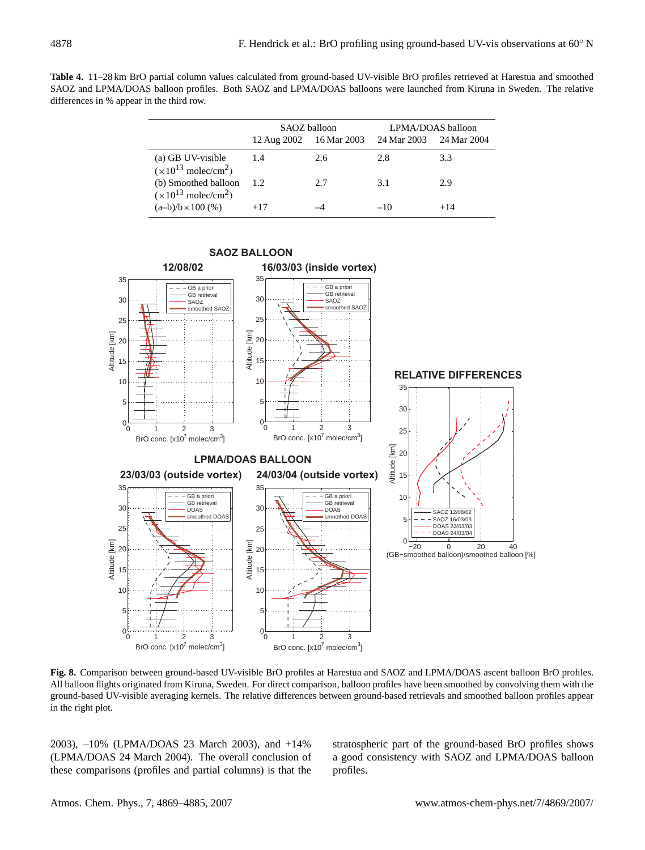**Table 4.** 11–28 km BrO partial column values calculated from ground-based UV-visible BrO profiles retrieved at Harestua and smoothed SAOZ and LPMA/DOAS balloon profiles. Both SAOZ and LPMA/DOAS balloons were launched from Kiruna in Sweden. The relative differences in % appear in the third row.

|                                                             |       | SAOZ balloon<br>12 Aug 2002 16 Mar 2003 | LPMA/DOAS balloon<br>24 Mar 2003 24 Mar 2004 |       |  |
|-------------------------------------------------------------|-------|-----------------------------------------|----------------------------------------------|-------|--|
| (a) GB UV-visible                                           | 1.4   | 2.6                                     | 2.8                                          | 3.3   |  |
| $(x10^{13} \text{ molec/cm}^2)$<br>(b) Smoothed balloon     | 1.2   | 2.7                                     | 3.1                                          | 2.9   |  |
| $(x10^{13} \text{ molec/cm}^2)$<br>$(a-b)/b \times 100$ (%) | $+17$ |                                         | $-10$                                        | $+14$ |  |



**Fig. 8.** Comparison between ground-based UV-visible BrO profiles at Harestua and SAOZ and LPMA/DOAS ascent balloon BrO profiles. All balloon flights originated from Kiruna, Sweden. For direct comparison, balloon profiles have been smoothed by convolving them with the ground-based UV-visible averaging kernels. The relative differences between ground-based retrievals and smoothed balloon profiles appear in the right plot.

2003), –10% (LPMA/DOAS 23 March 2003), and +14% (LPMA/DOAS 24 March 2004). The overall conclusion of these comparisons (profiles and partial columns) is that the stratospheric part of the ground-based BrO profiles shows a good consistency with SAOZ and LPMA/DOAS balloon profiles.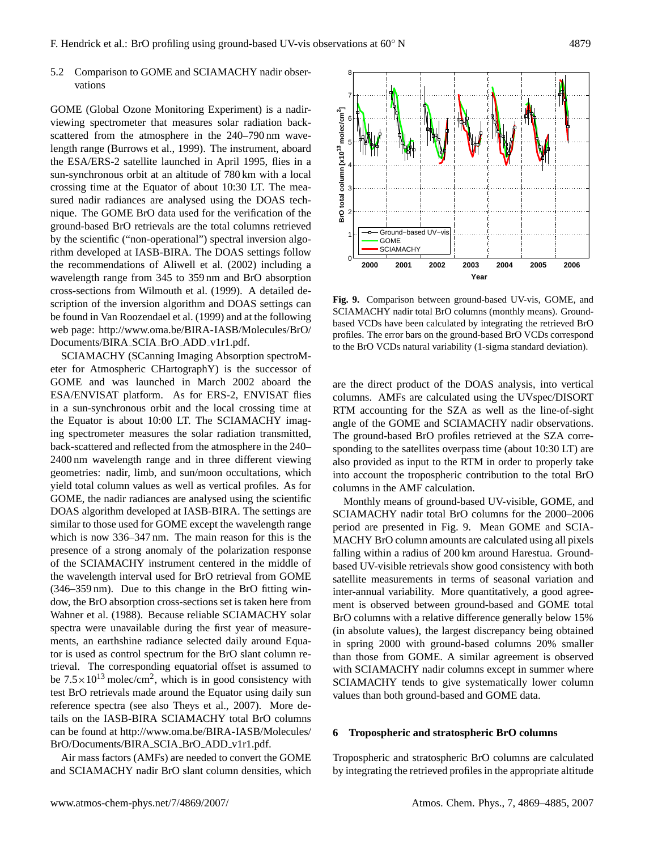## 5.2 Comparison to GOME and SCIAMACHY nadir observations

GOME (Global Ozone Monitoring Experiment) is a nadirviewing spectrometer that measures solar radiation backscattered from the atmosphere in the 240–790 nm wavelength range (Burrows et al., 1999). The instrument, aboard the ESA/ERS-2 satellite launched in April 1995, flies in a sun-synchronous orbit at an altitude of 780 km with a local crossing time at the Equator of about 10:30 LT. The measured nadir radiances are analysed using the DOAS technique. The GOME BrO data used for the verification of the ground-based BrO retrievals are the total columns retrieved by the scientific ("non-operational") spectral inversion algorithm developed at IASB-BIRA. The DOAS settings follow the recommendations of Aliwell et al. (2002) including a wavelength range from 345 to 359 nm and BrO absorption cross-sections from Wilmouth et al. (1999). A detailed description of the inversion algorithm and DOAS settings can be found in Van Roozendael et al. (1999) and at the following web page: [http://www.oma.be/BIRA-IASB/Molecules/BrO/](http://www.oma.be/BIRA-IASB/Molecules/BrO/Documents/BIRA_SCIA_BrO_ADD_v1r1.pdf) [Documents/BIRA](http://www.oma.be/BIRA-IASB/Molecules/BrO/Documents/BIRA_SCIA_BrO_ADD_v1r1.pdf) SCIA BrO ADD v1r1.pdf.

SCIAMACHY (SCanning Imaging Absorption spectroMeter for Atmospheric CHartographY) is the successor of GOME and was launched in March 2002 aboard the ESA/ENVISAT platform. As for ERS-2, ENVISAT flies in a sun-synchronous orbit and the local crossing time at the Equator is about 10:00 LT. The SCIAMACHY imaging spectrometer measures the solar radiation transmitted, back-scattered and reflected from the atmosphere in the 240– 2400 nm wavelength range and in three different viewing geometries: nadir, limb, and sun/moon occultations, which yield total column values as well as vertical profiles. As for GOME, the nadir radiances are analysed using the scientific DOAS algorithm developed at IASB-BIRA. The settings are similar to those used for GOME except the wavelength range which is now 336–347 nm. The main reason for this is the presence of a strong anomaly of the polarization response of the SCIAMACHY instrument centered in the middle of the wavelength interval used for BrO retrieval from GOME (346–359 nm). Due to this change in the BrO fitting window, the BrO absorption cross-sections set is taken here from Wahner et al. (1988). Because reliable SCIAMACHY solar spectra were unavailable during the first year of measurements, an earthshine radiance selected daily around Equator is used as control spectrum for the BrO slant column retrieval. The corresponding equatorial offset is assumed to be  $7.5 \times 10^{13}$  molec/cm<sup>2</sup>, which is in good consistency with test BrO retrievals made around the Equator using daily sun reference spectra (see also Theys et al., 2007). More details on the IASB-BIRA SCIAMACHY total BrO columns can be found at [http://www.oma.be/BIRA-IASB/Molecules/](http://www.oma.be/BIRA-IASB/Molecules/BrO/Documents/BIRA_SCIA_BrO_ADD_v1r1.pdf) [BrO/Documents/BIRA](http://www.oma.be/BIRA-IASB/Molecules/BrO/Documents/BIRA_SCIA_BrO_ADD_v1r1.pdf) SCIA BrO ADD v1r1.pdf.

Air mass factors (AMFs) are needed to convert the GOME and SCIAMACHY nadir BrO slant column densities, which

are the direct product of the DOAS analysis, into vertical columns. AMFs are calculated using the UVspec/DISORT RTM accounting for the SZA as well as the line-of-sight angle of the GOME and SCIAMACHY nadir observations. The ground-based BrO profiles retrieved at the SZA corresponding to the satellites overpass time (about 10:30 LT) are also provided as input to the RTM in order to properly take into account the tropospheric contribution to the total BrO columns in the AMF calculation.

**Fig. 9.** Comparison between ground-based UV-vis, GOME, and SCIAMACHY nadir total BrO columns (monthly means). Groundbased VCDs have been calculated by integrating the retrieved BrO profiles. The error bars on the ground-based BrO VCDs correspond to the BrO VCDs natural variability (1-sigma standard deviation).

Monthly means of ground-based UV-visible, GOME, and SCIAMACHY nadir total BrO columns for the 2000–2006 period are presented in Fig. 9. Mean GOME and SCIA-MACHY BrO column amounts are calculated using all pixels falling within a radius of 200 km around Harestua. Groundbased UV-visible retrievals show good consistency with both satellite measurements in terms of seasonal variation and inter-annual variability. More quantitatively, a good agreement is observed between ground-based and GOME total BrO columns with a relative difference generally below 15% (in absolute values), the largest discrepancy being obtained in spring 2000 with ground-based columns 20% smaller than those from GOME. A similar agreement is observed with SCIAMACHY nadir columns except in summer where SCIAMACHY tends to give systematically lower column values than both ground-based and GOME data.

## **6 Tropospheric and stratospheric BrO columns**

Tropospheric and stratospheric BrO columns are calculated by integrating the retrieved profiles in the appropriate altitude



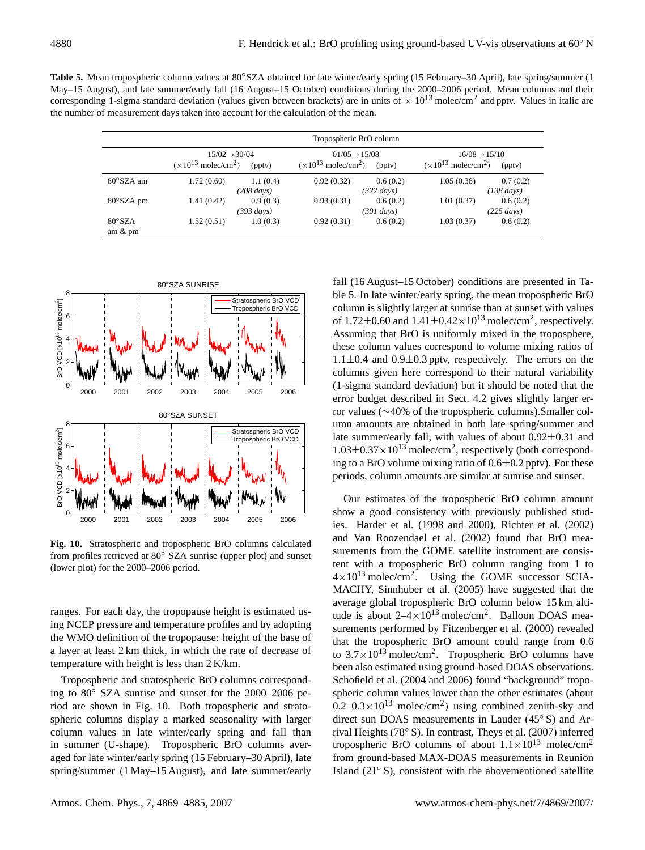**Table 5.** Mean tropospheric column values at 80◦SZA obtained for late winter/early spring (15 February–30 April), late spring/summer (1 May–15 August), and late summer/early fall (16 August–15 October) conditions during the 2000–2006 period. Mean columns and their corresponding 1-sigma standard deviation (values given between brackets) are in units of  $\times 10^{13}$  molec/cm<sup>2</sup> and pptv. Values in italic are the number of measurement days taken into account for the calculation of the mean.

|                                                                                       | Tropospheric BrO column |                                                                                 |            |                                                                        |            |                                  |
|---------------------------------------------------------------------------------------|-------------------------|---------------------------------------------------------------------------------|------------|------------------------------------------------------------------------|------------|----------------------------------|
| $15/02 \rightarrow 30/04$<br>$(\times 10^{13} \text{ molecule/cm}^2)$<br>$($ pptv $)$ |                         | $01/05 \rightarrow 15/08$<br>$(\times 10^{13} \text{ molecule/cm}^2)$<br>(pptv) |            | $16/08 \rightarrow 15/10$<br>$(x10^{13} \text{ molec/cm}^2)$<br>(pptv) |            |                                  |
| $80^{\circ}$ SZA am                                                                   | 1.72(0.60)              | 1.1(0.4)<br>$(208 \text{ days})$                                                | 0.92(0.32) | 0.6(0.2)<br>$(322 \text{ days})$                                       | 1.05(0.38) | 0.7(0.2)<br>$(138 \text{ days})$ |
| $80^{\circ}$ SZA pm                                                                   | 1.41(0.42)              | 0.9(0.3)<br>(393 days)                                                          | 0.93(0.31) | 0.6(0.2)<br>(391 days)                                                 | 1.01(0.37) | 0.6(0.2)<br>$(225 \text{ days})$ |
| $80^\circ$ SZA<br>am $\&$ pm                                                          | 1.52(0.51)              | 1.0(0.3)                                                                        | 0.92(0.31) | 0.6(0.2)                                                               | 1.03(0.37) | 0.6(0.2)                         |



**Fig. 10.** Stratospheric and tropospheric BrO columns calculated from profiles retrieved at 80° SZA sunrise (upper plot) and sunset (lower plot) for the 2000–2006 period.

ranges. For each day, the tropopause height is estimated using NCEP pressure and temperature profiles and by adopting the WMO definition of the tropopause: height of the base of a layer at least 2 km thick, in which the rate of decrease of temperature with height is less than 2 K/km.

Tropospheric and stratospheric BrO columns corresponding to 80◦ SZA sunrise and sunset for the 2000–2006 period are shown in Fig. 10. Both tropospheric and stratospheric columns display a marked seasonality with larger column values in late winter/early spring and fall than in summer (U-shape). Tropospheric BrO columns averaged for late winter/early spring (15 February–30 April), late spring/summer (1 May–15 August), and late summer/early

fall (16 August–15 October) conditions are presented in Table 5. In late winter/early spring, the mean tropospheric BrO column is slightly larger at sunrise than at sunset with values of 1.72 $\pm$ 0.60 and 1.41 $\pm$ 0.42 $\times$ 10<sup>13</sup> molec/cm<sup>2</sup>, respectively. Assuming that BrO is uniformly mixed in the troposphere, these column values correspond to volume mixing ratios of  $1.1\pm0.4$  and  $0.9\pm0.3$  pptv, respectively. The errors on the columns given here correspond to their natural variability (1-sigma standard deviation) but it should be noted that the error budget described in Sect. 4.2 gives slightly larger error values (∼40% of the tropospheric columns).Smaller column amounts are obtained in both late spring/summer and late summer/early fall, with values of about 0.92±0.31 and  $1.03 \pm 0.37 \times 10^{13}$  molec/cm<sup>2</sup>, respectively (both corresponding to a BrO volume mixing ratio of  $0.6\pm0.2$  pptv). For these periods, column amounts are similar at sunrise and sunset.

Our estimates of the tropospheric BrO column amount show a good consistency with previously published studies. Harder et al. (1998 and 2000), Richter et al. (2002) and Van Roozendael et al. (2002) found that BrO measurements from the GOME satellite instrument are consistent with a tropospheric BrO column ranging from 1 to  $4 \times 10^{13}$  molec/cm<sup>2</sup>. Using the GOME successor SCIA-MACHY, Sinnhuber et al. (2005) have suggested that the average global tropospheric BrO column below 15 km altitude is about  $2-4 \times 10^{13}$  molec/cm<sup>2</sup>. Balloon DOAS measurements performed by Fitzenberger et al. (2000) revealed that the tropospheric BrO amount could range from 0.6 to  $3.7 \times 10^{13}$  molec/cm<sup>2</sup>. Tropospheric BrO columns have been also estimated using ground-based DOAS observations. Schofield et al. (2004 and 2006) found "background" tropospheric column values lower than the other estimates (about  $0.2 - 0.3 \times 10^{13}$  molec/cm<sup>2</sup>) using combined zenith-sky and direct sun DOAS measurements in Lauder (45◦ S) and Arrival Heights (78◦ S). In contrast, Theys et al. (2007) inferred tropospheric BrO columns of about  $1.1 \times 10^{13}$  molec/cm<sup>2</sup> from ground-based MAX-DOAS measurements in Reunion Island (21◦ S), consistent with the abovementioned satellite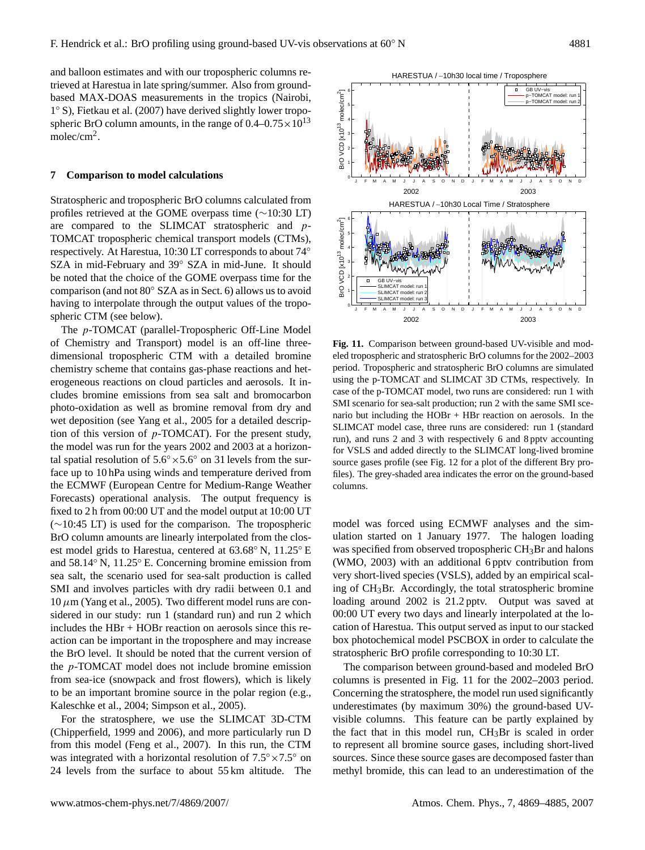and balloon estimates and with our tropospheric columns retrieved at Harestua in late spring/summer. Also from groundbased MAX-DOAS measurements in the tropics (Nairobi, 1 ◦ S), Fietkau et al. (2007) have derived slightly lower tropospheric BrO column amounts, in the range of  $0.4-0.75 \times 10^{13}$ molec/cm<sup>2</sup>.

#### **7 Comparison to model calculations**

Stratospheric and tropospheric BrO columns calculated from profiles retrieved at the GOME overpass time (∼10:30 LT) are compared to the SLIMCAT stratospheric and p-TOMCAT tropospheric chemical transport models (CTMs), respectively. At Harestua, 10:30 LT corresponds to about 74◦ SZA in mid-February and 39◦ SZA in mid-June. It should be noted that the choice of the GOME overpass time for the comparison (and not 80◦ SZA as in Sect. 6) allows us to avoid having to interpolate through the output values of the tropospheric CTM (see below).

The p-TOMCAT (parallel-Tropospheric Off-Line Model of Chemistry and Transport) model is an off-line threedimensional tropospheric CTM with a detailed bromine chemistry scheme that contains gas-phase reactions and heterogeneous reactions on cloud particles and aerosols. It includes bromine emissions from sea salt and bromocarbon photo-oxidation as well as bromine removal from dry and wet deposition (see Yang et al., 2005 for a detailed description of this version of p-TOMCAT). For the present study, the model was run for the years 2002 and 2003 at a horizontal spatial resolution of  $5.6° \times 5.6°$  on 31 levels from the surface up to 10 hPa using winds and temperature derived from the ECMWF (European Centre for Medium-Range Weather Forecasts) operational analysis. The output frequency is fixed to 2 h from 00:00 UT and the model output at 10:00 UT (∼10:45 LT) is used for the comparison. The tropospheric BrO column amounts are linearly interpolated from the closest model grids to Harestua, centered at 63.68◦ N, 11.25◦ E and 58.14◦ N, 11.25◦ E. Concerning bromine emission from sea salt, the scenario used for sea-salt production is called SMI and involves particles with dry radii between 0.1 and  $10 \mu$ m (Yang et al., 2005). Two different model runs are considered in our study: run 1 (standard run) and run 2 which includes the HBr + HOBr reaction on aerosols since this reaction can be important in the troposphere and may increase the BrO level. It should be noted that the current version of the p-TOMCAT model does not include bromine emission from sea-ice (snowpack and frost flowers), which is likely to be an important bromine source in the polar region (e.g., Kaleschke et al., 2004; Simpson et al., 2005).

For the stratosphere, we use the SLIMCAT 3D-CTM (Chipperfield, 1999 and 2006), and more particularly run D from this model (Feng et al., 2007). In this run, the CTM was integrated with a horizontal resolution of  $7.5° \times 7.5°$  on 24 levels from the surface to about 55 km altitude. The

**Fig. 11.** Comparison between ground-based UV-visible and modeled tropospheric and stratospheric BrO columns for the 2002–2003 period. Tropospheric and stratospheric BrO columns are simulated using the p-TOMCAT and SLIMCAT 3D CTMs, respectively. In case of the p-TOMCAT model, two runs are considered: run 1 with SMI scenario for sea-salt production; run 2 with the same SMI scenario but including the HOBr + HBr reaction on aerosols. In the SLIMCAT model case, three runs are considered: run 1 (standard run), and runs 2 and 3 with respectively 6 and 8 pptv accounting for VSLS and added directly to the SLIMCAT long-lived bromine source gases profile (see Fig. 12 for a plot of the different Bry profiles). The grey-shaded area indicates the error on the ground-based columns.

model was forced using ECMWF analyses and the simulation started on 1 January 1977. The halogen loading was specified from observed tropospheric CH<sub>3</sub>Br and halons (WMO, 2003) with an additional 6 pptv contribution from very short-lived species (VSLS), added by an empirical scaling of CH3Br. Accordingly, the total stratospheric bromine loading around 2002 is 21.2 pptv. Output was saved at 00:00 UT every two days and linearly interpolated at the location of Harestua. This output served as input to our stacked box photochemical model PSCBOX in order to calculate the stratospheric BrO profile corresponding to 10:30 LT.

The comparison between ground-based and modeled BrO columns is presented in Fig. 11 for the 2002–2003 period. Concerning the stratosphere, the model run used significantly underestimates (by maximum 30%) the ground-based UVvisible columns. This feature can be partly explained by the fact that in this model run,  $CH<sub>3</sub>Br$  is scaled in order to represent all bromine source gases, including short-lived sources. Since these source gases are decomposed faster than methyl bromide, this can lead to an underestimation of the

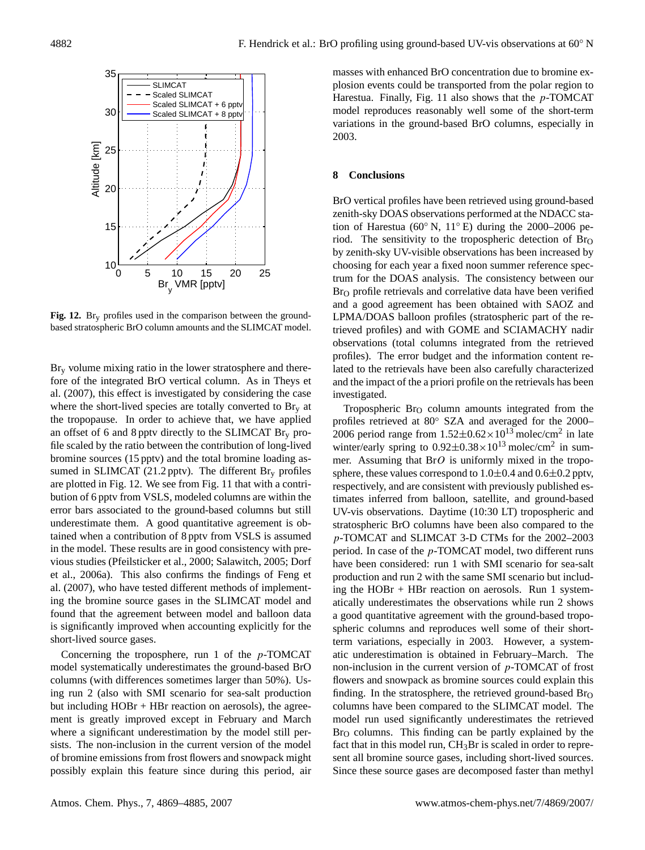

**Fig. 12.** Bry profiles used in the comparison between the groundbased stratospheric BrO column amounts and the SLIMCAT model.

 $Br<sub>v</sub>$  volume mixing ratio in the lower stratosphere and therefore of the integrated BrO vertical column. As in Theys et al. (2007), this effect is investigated by considering the case where the short-lived species are totally converted to  $\text{Br}_v$  at the tropopause. In order to achieve that, we have applied an offset of 6 and 8 pptv directly to the SLIMCAT  $\text{Br}_{v}$  profile scaled by the ratio between the contribution of long-lived bromine sources (15 pptv) and the total bromine loading assumed in SLIMCAT (21.2 pptv). The different  $Br<sub>y</sub>$  profiles are plotted in Fig. 12. We see from Fig. 11 that with a contribution of 6 pptv from VSLS, modeled columns are within the error bars associated to the ground-based columns but still underestimate them. A good quantitative agreement is obtained when a contribution of 8 pptv from VSLS is assumed in the model. These results are in good consistency with previous studies (Pfeilsticker et al., 2000; Salawitch, 2005; Dorf et al., 2006a). This also confirms the findings of Feng et al. (2007), who have tested different methods of implementing the bromine source gases in the SLIMCAT model and found that the agreement between model and balloon data is significantly improved when accounting explicitly for the short-lived source gases.

Concerning the troposphere, run 1 of the p-TOMCAT model systematically underestimates the ground-based BrO columns (with differences sometimes larger than 50%). Using run 2 (also with SMI scenario for sea-salt production but including HOBr + HBr reaction on aerosols), the agreement is greatly improved except in February and March where a significant underestimation by the model still persists. The non-inclusion in the current version of the model of bromine emissions from frost flowers and snowpack might possibly explain this feature since during this period, air masses with enhanced BrO concentration due to bromine explosion events could be transported from the polar region to Harestua. Finally, Fig. 11 also shows that the  $p$ -TOMCAT model reproduces reasonably well some of the short-term variations in the ground-based BrO columns, especially in 2003.

#### **8 Conclusions**

BrO vertical profiles have been retrieved using ground-based zenith-sky DOAS observations performed at the NDACC station of Harestua (60 $\degree$  N, 11 $\degree$  E) during the 2000–2006 period. The sensitivity to the tropospheric detection of  $\text{Br}_O$ by zenith-sky UV-visible observations has been increased by choosing for each year a fixed noon summer reference spectrum for the DOAS analysis. The consistency between our  $Br<sub>O</sub>$  profile retrievals and correlative data have been verified and a good agreement has been obtained with SAOZ and LPMA/DOAS balloon profiles (stratospheric part of the retrieved profiles) and with GOME and SCIAMACHY nadir observations (total columns integrated from the retrieved profiles). The error budget and the information content related to the retrievals have been also carefully characterized and the impact of the a priori profile on the retrievals has been investigated.

Tropospheric  $Br<sub>O</sub>$  column amounts integrated from the profiles retrieved at 80◦ SZA and averaged for the 2000– 2006 period range from  $1.52 \pm 0.62 \times 10^{13}$  molec/cm<sup>2</sup> in late winter/early spring to  $0.92 \pm 0.38 \times 10^{13}$  molec/cm<sup>2</sup> in summer. Assuming that  $BrO$  is uniformly mixed in the troposphere, these values correspond to  $1.0\pm0.4$  and  $0.6\pm0.2$  pptv, respectively, and are consistent with previously published estimates inferred from balloon, satellite, and ground-based UV-vis observations. Daytime (10:30 LT) tropospheric and stratospheric BrO columns have been also compared to the p-TOMCAT and SLIMCAT 3-D CTMs for the 2002–2003 period. In case of the p-TOMCAT model, two different runs have been considered: run 1 with SMI scenario for sea-salt production and run 2 with the same SMI scenario but including the HOBr + HBr reaction on aerosols. Run 1 systematically underestimates the observations while run 2 shows a good quantitative agreement with the ground-based tropospheric columns and reproduces well some of their shortterm variations, especially in 2003. However, a systematic underestimation is obtained in February–March. The non-inclusion in the current version of  $p$ -TOMCAT of frost flowers and snowpack as bromine sources could explain this finding. In the stratosphere, the retrieved ground-based  $Br<sub>O</sub>$ columns have been compared to the SLIMCAT model. The model run used significantly underestimates the retrieved  $Br<sub>O</sub>$  columns. This finding can be partly explained by the fact that in this model run,  $CH<sub>3</sub>Br$  is scaled in order to represent all bromine source gases, including short-lived sources. Since these source gases are decomposed faster than methyl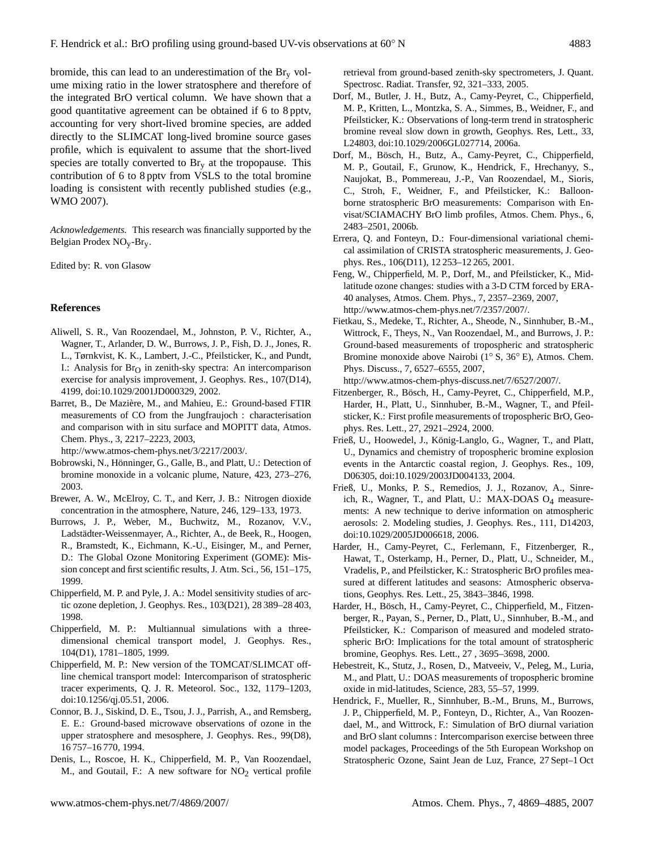bromide, this can lead to an underestimation of the  $\text{Br}_{v}$  volume mixing ratio in the lower stratosphere and therefore of the integrated BrO vertical column. We have shown that a good quantitative agreement can be obtained if 6 to 8 pptv, accounting for very short-lived bromine species, are added directly to the SLIMCAT long-lived bromine source gases profile, which is equivalent to assume that the short-lived species are totally converted to  $\text{Br}_{\text{y}}$  at the tropopause. This contribution of 6 to 8 pptv from VSLS to the total bromine loading is consistent with recently published studies (e.g., WMO 2007).

*Acknowledgements.* This research was financially supported by the Belgian Prodex NOy-Bry.

Edited by: R. von Glasow

#### **References**

- Aliwell, S. R., Van Roozendael, M., Johnston, P. V., Richter, A., Wagner, T., Arlander, D. W., Burrows, J. P., Fish, D. J., Jones, R. L., Tørnkvist, K. K., Lambert, J.-C., Pfeilsticker, K., and Pundt, I.: Analysis for  $Br<sub>O</sub>$  in zenith-sky spectra: An intercomparison exercise for analysis improvement, J. Geophys. Res., 107(D14), 4199, doi:10.1029/2001JD000329, 2002.
- Barret, B., De Mazière, M., and Mahieu, E.: Ground-based FTIR measurements of CO from the Jungfraujoch : characterisation and comparison with in situ surface and MOPITT data, Atmos. Chem. Phys., 3, 2217–2223, 2003,

[http://www.atmos-chem-phys.net/3/2217/2003/.](http://www.atmos-chem-phys.net/3/2217/2003/)

- Bobrowski, N., Hönninger, G., Galle, B., and Platt, U.: Detection of bromine monoxide in a volcanic plume, Nature, 423, 273–276, 2003.
- Brewer, A. W., McElroy, C. T., and Kerr, J. B.: Nitrogen dioxide concentration in the atmosphere, Nature, 246, 129–133, 1973.
- Burrows, J. P., Weber, M., Buchwitz, M., Rozanov, V.V., Ladstädter-Weissenmayer, A., Richter, A., de Beek, R., Hoogen, R., Bramstedt, K., Eichmann, K.-U., Eisinger, M., and Perner, D.: The Global Ozone Monitoring Experiment (GOME): Mission concept and first scientific results, J. Atm. Sci., 56, 151–175, 1999.
- Chipperfield, M. P. and Pyle, J. A.: Model sensitivity studies of arctic ozone depletion, J. Geophys. Res., 103(D21), 28 389–28 403, 1998.
- Chipperfield, M. P.: Multiannual simulations with a threedimensional chemical transport model, J. Geophys. Res., 104(D1), 1781–1805, 1999.
- Chipperfield, M. P.: New version of the TOMCAT/SLIMCAT offline chemical transport model: Intercomparison of stratospheric tracer experiments, Q. J. R. Meteorol. Soc., 132, 1179–1203, doi:10.1256/qj.05.51, 2006.
- Connor, B. J., Siskind, D. E., Tsou, J. J., Parrish, A., and Remsberg, E. E.: Ground-based microwave observations of ozone in the upper stratosphere and mesosphere, J. Geophys. Res., 99(D8), 16 757–16 770, 1994.
- Denis, L., Roscoe, H. K., Chipperfield, M. P., Van Roozendael, M., and Goutail, F.: A new software for  $NO<sub>2</sub>$  vertical profile

retrieval from ground-based zenith-sky spectrometers, J. Quant. Spectrosc. Radiat. Transfer, 92, 321–333, 2005.

- Dorf, M., Butler, J. H., Butz, A., Camy-Peyret, C., Chipperfield, M. P., Kritten, L., Montzka, S. A., Simmes, B., Weidner, F., and Pfeilsticker, K.: Observations of long-term trend in stratospheric bromine reveal slow down in growth, Geophys. Res, Lett., 33, L24803, doi:10.1029/2006GL027714, 2006a.
- Dorf, M., Bösch, H., Butz, A., Camy-Peyret, C., Chipperfield, M. P., Goutail, F., Grunow, K., Hendrick, F., Hrechanyy, S., Naujokat, B., Pommereau, J.-P., Van Roozendael, M., Sioris, C., Stroh, F., Weidner, F., and Pfeilsticker, K.: Balloonborne stratospheric BrO measurements: Comparison with Envisat/SCIAMACHY BrO limb profiles, Atmos. Chem. Phys., 6, 2483–2501, 2006b.
- Errera, Q. and Fonteyn, D.: Four-dimensional variational chemical assimilation of CRISTA stratospheric measurements, J. Geophys. Res., 106(D11), 12 253–12 265, 2001.
- Feng, W., Chipperfield, M. P., Dorf, M., and Pfeilsticker, K., Midlatitude ozone changes: studies with a 3-D CTM forced by ERA-40 analyses, Atmos. Chem. Phys., 7, 2357–2369, 2007, [http://www.atmos-chem-phys.net/7/2357/2007/.](http://www.atmos-chem-phys.net/7/2357/2007/)
- Fietkau, S., Medeke, T., Richter, A., Sheode, N., Sinnhuber, B.-M., Wittrock, F., Theys, N., Van Roozendael, M., and Burrows, J. P.: Ground-based measurements of tropospheric and stratospheric Bromine monoxide above Nairobi (1◦ S, 36◦ E), Atmos. Chem. Phys. Discuss., 7, 6527–6555, 2007,

[http://www.atmos-chem-phys-discuss.net/7/6527/2007/.](http://www.atmos-chem-phys-discuss.net/7/6527/2007/)

- Fitzenberger, R., Bösch, H., Camy-Peyret, C., Chipperfield, M.P., Harder, H., Platt, U., Sinnhuber, B.-M., Wagner, T., and Pfeilsticker, K.: First profile measurements of tropospheric BrO, Geophys. Res. Lett., 27, 2921–2924, 2000.
- Frieß, U., Hoowedel, J., König-Langlo, G., Wagner, T., and Platt, U., Dynamics and chemistry of tropospheric bromine explosion events in the Antarctic coastal region, J. Geophys. Res., 109, D06305, doi:10.1029/2003JD004133, 2004.
- Frieß, U., Monks, P. S., Remedios, J. J., Rozanov, A., Sinreich, R., Wagner, T., and Platt, U.: MAX-DOAS O4 measurements: A new technique to derive information on atmospheric aerosols: 2. Modeling studies, J. Geophys. Res., 111, D14203, doi:10.1029/2005JD006618, 2006.
- Harder, H., Camy-Peyret, C., Ferlemann, F., Fitzenberger, R., Hawat, T., Osterkamp, H., Perner, D., Platt, U., Schneider, M., Vradelis, P., and Pfeilsticker, K.: Stratospheric BrO profiles measured at different latitudes and seasons: Atmospheric observations, Geophys. Res. Lett., 25, 3843–3846, 1998.
- Harder, H., Bösch, H., Camy-Peyret, C., Chipperfield, M., Fitzenberger, R., Payan, S., Perner, D., Platt, U., Sinnhuber, B.-M., and Pfeilsticker, K.: Comparison of measured and modeled stratospheric BrO: Implications for the total amount of stratospheric bromine, Geophys. Res. Lett., 27 , 3695–3698, 2000.
- Hebestreit, K., Stutz, J., Rosen, D., Matveeiv, V., Peleg, M., Luria, M., and Platt, U.: DOAS measurements of tropospheric bromine oxide in mid-latitudes, Science, 283, 55–57, 1999.
- Hendrick, F., Mueller, R., Sinnhuber, B.-M., Bruns, M., Burrows, J. P., Chipperfield, M. P., Fonteyn, D., Richter, A., Van Roozendael, M., and Wittrock, F.: Simulation of BrO diurnal variation and BrO slant columns : Intercomparison exercise between three model packages, Proceedings of the 5th European Workshop on Stratospheric Ozone, Saint Jean de Luz, France, 27 Sept–1 Oct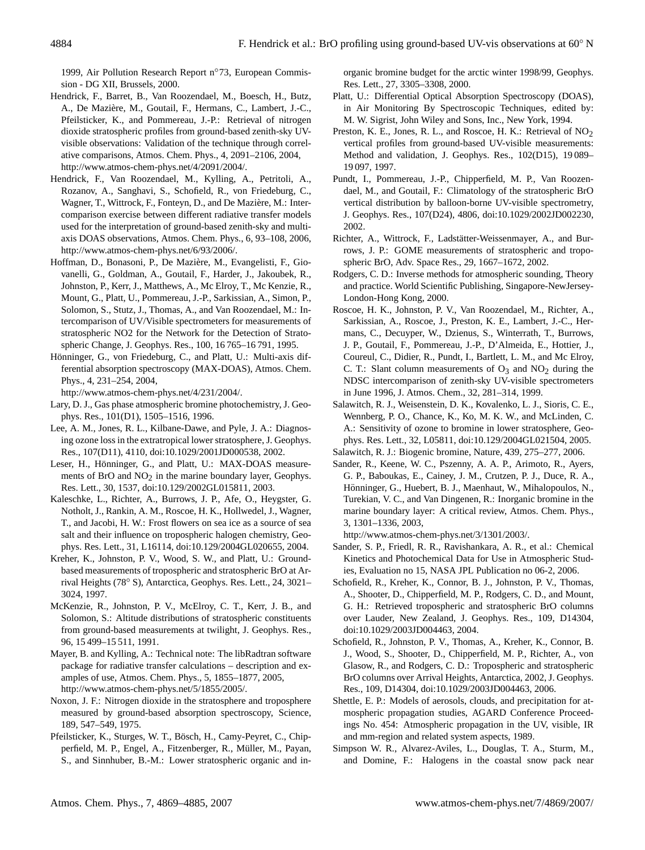1999, Air Pollution Research Report n◦73, European Commission - DG XII, Brussels, 2000.

- Hendrick, F., Barret, B., Van Roozendael, M., Boesch, H., Butz, A., De Maziere, M., Goutail, F., Hermans, C., Lambert, J.-C., ` Pfeilsticker, K., and Pommereau, J.-P.: Retrieval of nitrogen dioxide stratospheric profiles from ground-based zenith-sky UVvisible observations: Validation of the technique through correlative comparisons, Atmos. Chem. Phys., 4, 2091–2106, 2004, [http://www.atmos-chem-phys.net/4/2091/2004/.](http://www.atmos-chem-phys.net/4/2091/2004/)
- Hendrick, F., Van Roozendael, M., Kylling, A., Petritoli, A., Rozanov, A., Sanghavi, S., Schofield, R., von Friedeburg, C., Wagner, T., Wittrock, F., Fonteyn, D., and De Mazière, M.: Intercomparison exercise between different radiative transfer models used for the interpretation of ground-based zenith-sky and multiaxis DOAS observations, Atmos. Chem. Phys., 6, 93–108, 2006, [http://www.atmos-chem-phys.net/6/93/2006/.](http://www.atmos-chem-phys.net/6/93/2006/)
- Hoffman, D., Bonasoni, P., De Maziere, M., Evangelisti, F., Gio- ` vanelli, G., Goldman, A., Goutail, F., Harder, J., Jakoubek, R., Johnston, P., Kerr, J., Matthews, A., Mc Elroy, T., Mc Kenzie, R., Mount, G., Platt, U., Pommereau, J.-P., Sarkissian, A., Simon, P., Solomon, S., Stutz, J., Thomas, A., and Van Roozendael, M.: Intercomparison of UV/Visible spectrometers for measurements of stratospheric NO2 for the Network for the Detection of Stratospheric Change, J. Geophys. Res., 100, 16 765–16 791, 1995.
- Hönninger, G., von Friedeburg, C., and Platt, U.: Multi-axis differential absorption spectroscopy (MAX-DOAS), Atmos. Chem. Phys., 4, 231–254, 2004,

[http://www.atmos-chem-phys.net/4/231/2004/.](http://www.atmos-chem-phys.net/4/231/2004/)

- Lary, D. J., Gas phase atmospheric bromine photochemistry, J. Geophys. Res., 101(D1), 1505–1516, 1996.
- Lee, A. M., Jones, R. L., Kilbane-Dawe, and Pyle, J. A.: Diagnosing ozone loss in the extratropical lower stratosphere, J. Geophys. Res., 107(D11), 4110, doi:10.1029/2001JD000538, 2002.
- Leser, H., Hönninger, G., and Platt, U.: MAX-DOAS measurements of BrO and  $NO<sub>2</sub>$  in the marine boundary layer, Geophys. Res. Lett., 30, 1537, doi:10.129/2002GL015811, 2003.
- Kaleschke, L., Richter, A., Burrows, J. P., Afe, O., Heygster, G. Notholt, J., Rankin, A. M., Roscoe, H. K., Hollwedel, J., Wagner, T., and Jacobi, H. W.: Frost flowers on sea ice as a source of sea salt and their influence on tropospheric halogen chemistry, Geophys. Res. Lett., 31, L16114, doi:10.129/2004GL020655, 2004.
- Kreher, K., Johnston, P. V., Wood, S. W., and Platt, U.: Groundbased measurements of tropospheric and stratospheric BrO at Arrival Heights (78◦ S), Antarctica, Geophys. Res. Lett., 24, 3021– 3024, 1997.
- McKenzie, R., Johnston, P. V., McElroy, C. T., Kerr, J. B., and Solomon, S.: Altitude distributions of stratospheric constituents from ground-based measurements at twilight, J. Geophys. Res., 96, 15 499–15 511, 1991.
- Mayer, B. and Kylling, A.: Technical note: The libRadtran software package for radiative transfer calculations – description and examples of use, Atmos. Chem. Phys., 5, 1855–1877, 2005, [http://www.atmos-chem-phys.net/5/1855/2005/.](http://www.atmos-chem-phys.net/5/1855/2005/)
- Noxon, J. F.: Nitrogen dioxide in the stratosphere and troposphere measured by ground-based absorption spectroscopy, Science, 189, 547–549, 1975.
- Pfeilsticker, K., Sturges, W. T., Bösch, H., Camy-Peyret, C., Chipperfield, M. P., Engel, A., Fitzenberger, R., Muller, M., Payan, ¨ S., and Sinnhuber, B.-M.: Lower stratospheric organic and in-

organic bromine budget for the arctic winter 1998/99, Geophys. Res. Lett., 27, 3305–3308, 2000.

- Platt, U.: Differential Optical Absorption Spectroscopy (DOAS), in Air Monitoring By Spectroscopic Techniques, edited by: M. W. Sigrist, John Wiley and Sons, Inc., New York, 1994.
- Preston, K. E., Jones, R. L., and Roscoe, H. K.: Retrieval of NO<sub>2</sub> vertical profiles from ground-based UV-visible measurements: Method and validation, J. Geophys. Res., 102(D15), 19 089– 19 097, 1997.
- Pundt, I., Pommereau, J.-P., Chipperfield, M. P., Van Roozendael, M., and Goutail, F.: Climatology of the stratospheric BrO vertical distribution by balloon-borne UV-visible spectrometry, J. Geophys. Res., 107(D24), 4806, doi:10.1029/2002JD002230, 2002.
- Richter, A., Wittrock, F., Ladstätter-Weissenmayer, A., and Burrows, J. P.: GOME measurements of stratospheric and tropospheric BrO, Adv. Space Res., 29, 1667–1672, 2002.
- Rodgers, C. D.: Inverse methods for atmospheric sounding, Theory and practice. World Scientific Publishing, Singapore-NewJersey-London-Hong Kong, 2000.
- Roscoe, H. K., Johnston, P. V., Van Roozendael, M., Richter, A., Sarkissian, A., Roscoe, J., Preston, K. E., Lambert, J.-C., Hermans, C., Decuyper, W., Dzienus, S., Winterrath, T., Burrows, J. P., Goutail, F., Pommereau, J.-P., D'Almeida, E., Hottier, J., Coureul, C., Didier, R., Pundt, I., Bartlett, L. M., and Mc Elroy, C. T.: Slant column measurements of  $O_3$  and  $NO_2$  during the NDSC intercomparison of zenith-sky UV-visible spectrometers in June 1996, J. Atmos. Chem., 32, 281–314, 1999.
- Salawitch, R. J., Weisenstein, D. K., Kovalenko, L. J., Sioris, C. E., Wennberg, P. O., Chance, K., Ko, M. K. W., and McLinden, C. A.: Sensitivity of ozone to bromine in lower stratosphere, Geophys. Res. Lett., 32, L05811, doi:10.129/2004GL021504, 2005.
- Salawitch, R. J.: Biogenic bromine, Nature, 439, 275–277, 2006.
- Sander, R., Keene, W. C., Pszenny, A. A. P., Arimoto, R., Ayers, G. P., Baboukas, E., Cainey, J. M., Crutzen, P. J., Duce, R. A., Hönninger, G., Huebert, B. J., Maenhaut, W., Mihalopoulos, N., Turekian, V. C., and Van Dingenen, R.: Inorganic bromine in the marine boundary layer: A critical review, Atmos. Chem. Phys., 3, 1301–1336, 2003,

[http://www.atmos-chem-phys.net/3/1301/2003/.](http://www.atmos-chem-phys.net/3/1301/2003/)

- Sander, S. P., Friedl, R. R., Ravishankara, A. R., et al.: Chemical Kinetics and Photochemical Data for Use in Atmospheric Studies, Evaluation no 15, NASA JPL Publication no 06-2, 2006.
- Schofield, R., Kreher, K., Connor, B. J., Johnston, P. V., Thomas, A., Shooter, D., Chipperfield, M. P., Rodgers, C. D., and Mount, G. H.: Retrieved tropospheric and stratospheric BrO columns over Lauder, New Zealand, J. Geophys. Res., 109, D14304, doi:10.1029/2003JD004463, 2004.
- Schofield, R., Johnston, P. V., Thomas, A., Kreher, K., Connor, B. J., Wood, S., Shooter, D., Chipperfield, M. P., Richter, A., von Glasow, R., and Rodgers, C. D.: Tropospheric and stratospheric BrO columns over Arrival Heights, Antarctica, 2002, J. Geophys. Res., 109, D14304, doi:10.1029/2003JD004463, 2006.
- Shettle, E. P.: Models of aerosols, clouds, and precipitation for atmospheric propagation studies, AGARD Conference Proceedings No. 454: Atmospheric propagation in the UV, visible, IR and mm-region and related system aspects, 1989.
- Simpson W. R., Alvarez-Aviles, L., Douglas, T. A., Sturm, M., and Domine, F.: Halogens in the coastal snow pack near